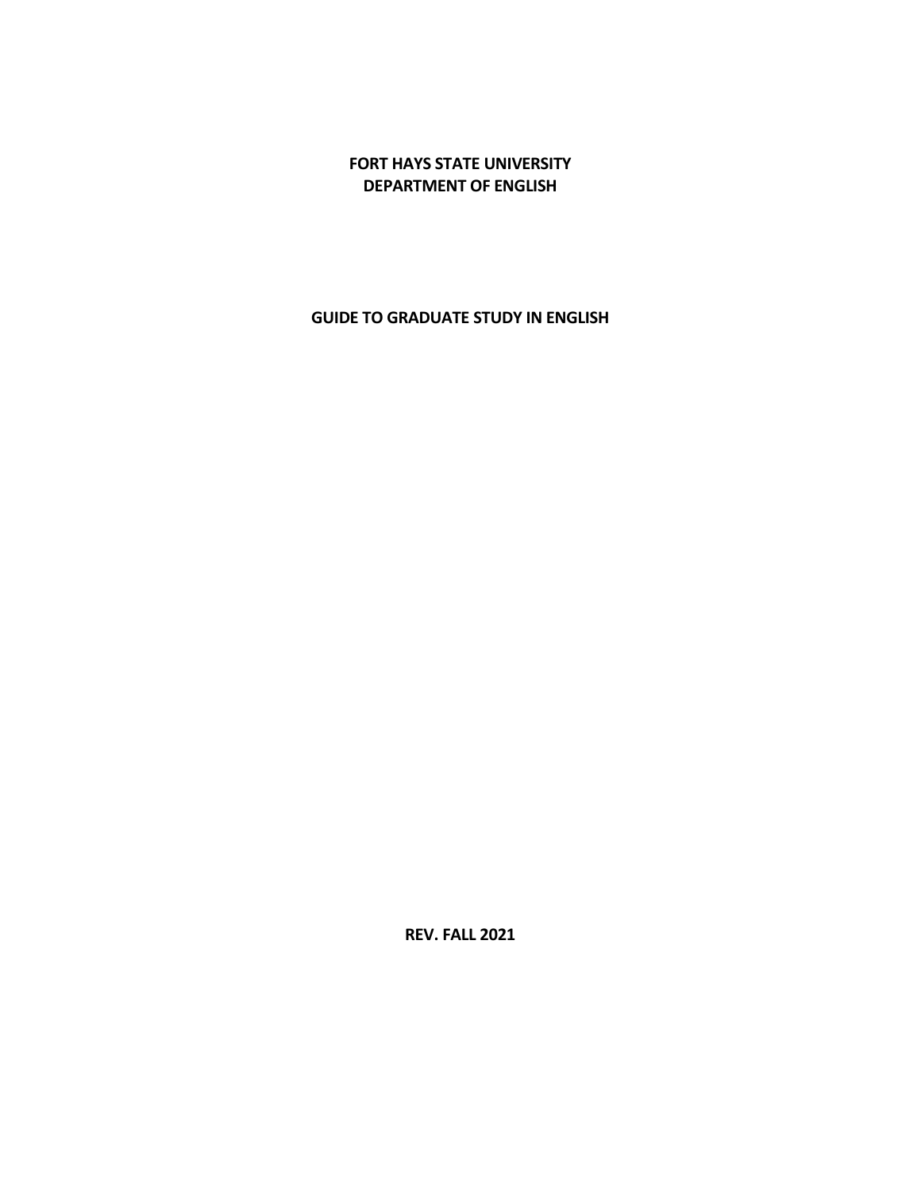# **FORT HAYS STATE UNIVERSITY DEPARTMENT OF ENGLISH**

# **GUIDE TO GRADUATE STUDY IN ENGLISH**

**REV. FALL 2021**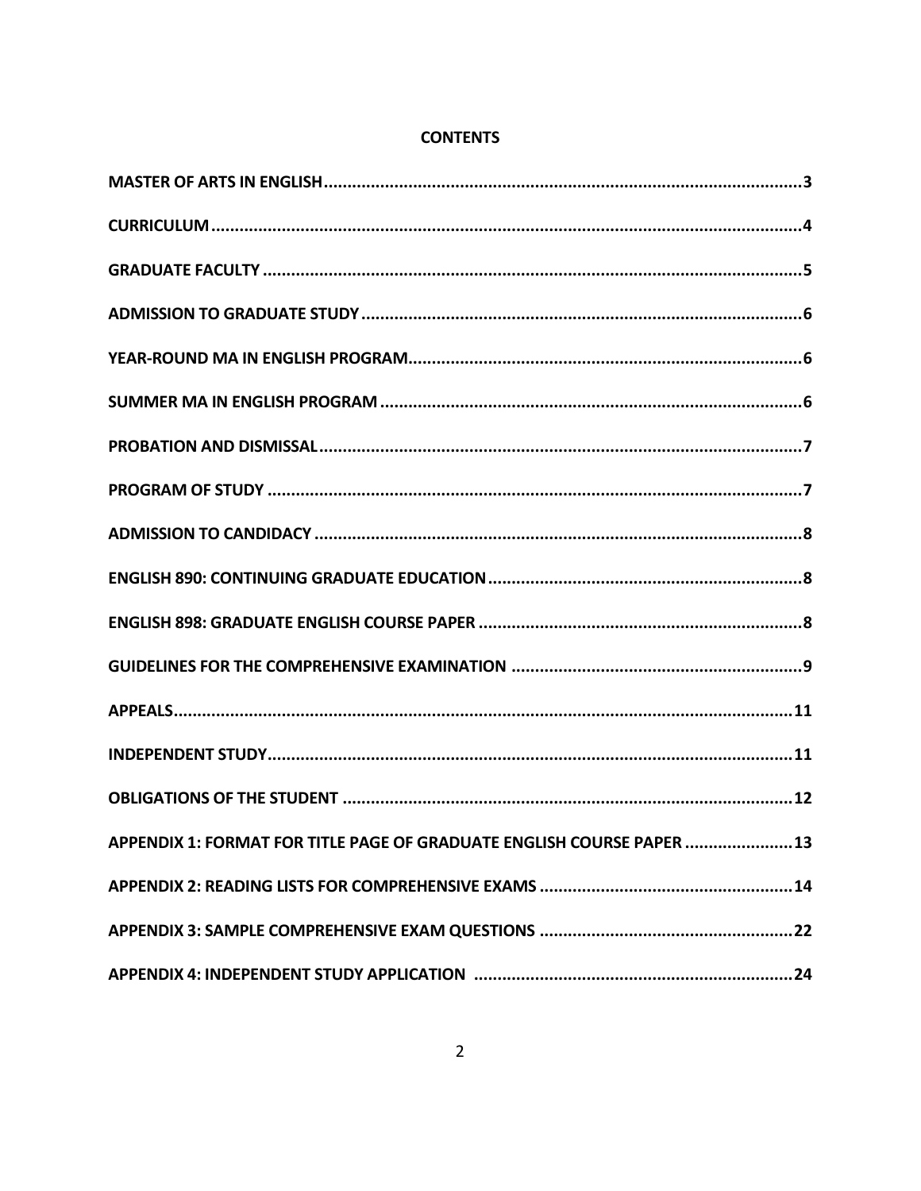| APPENDIX 1: FORMAT FOR TITLE PAGE OF GRADUATE ENGLISH COURSE PAPER  13 |
|------------------------------------------------------------------------|
|                                                                        |
|                                                                        |
|                                                                        |

# **CONTENTS**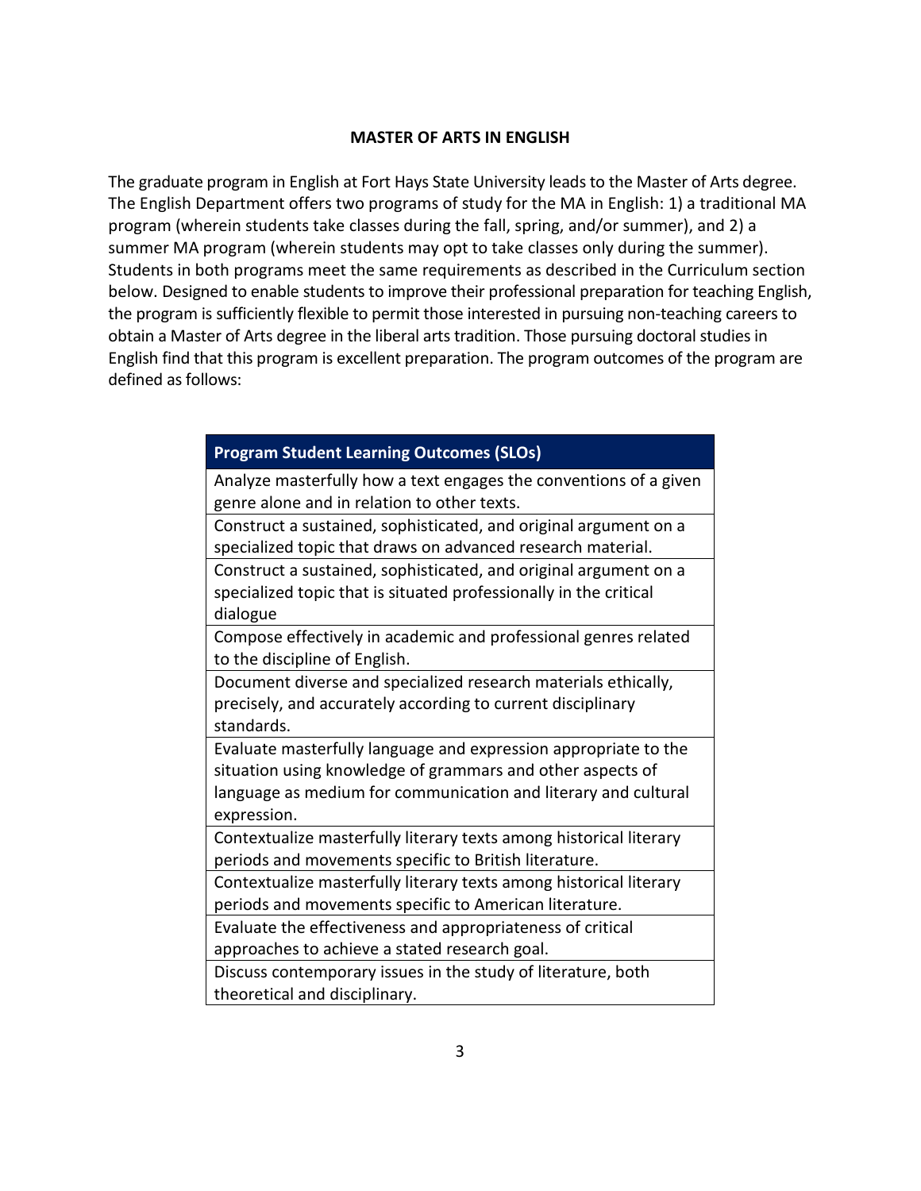#### **MASTER OF ARTS IN ENGLISH**

The graduate program in English at Fort Hays State University leads to the Master of Arts degree. The English Department offers two programs of study for the MA in English: 1) a traditional MA program (wherein students take classes during the fall, spring, and/or summer), and 2) a summer MA program (wherein students may opt to take classes only during the summer). Students in both programs meet the same requirements as described in the Curriculum section below. Designed to enable students to improve their professional preparation for teaching English, the program is sufficiently flexible to permit those interested in pursuing non-teaching careers to obtain a Master of Arts degree in the liberal arts tradition. Those pursuing doctoral studies in English find that this program is excellent preparation. The program outcomes of the program are defined as follows:

| <b>Program Student Learning Outcomes (SLOs)</b>                                                                                                                                                                |  |  |  |  |
|----------------------------------------------------------------------------------------------------------------------------------------------------------------------------------------------------------------|--|--|--|--|
| Analyze masterfully how a text engages the conventions of a given<br>genre alone and in relation to other texts.                                                                                               |  |  |  |  |
| Construct a sustained, sophisticated, and original argument on a<br>specialized topic that draws on advanced research material.                                                                                |  |  |  |  |
| Construct a sustained, sophisticated, and original argument on a<br>specialized topic that is situated professionally in the critical<br>dialogue                                                              |  |  |  |  |
| Compose effectively in academic and professional genres related<br>to the discipline of English.                                                                                                               |  |  |  |  |
| Document diverse and specialized research materials ethically,<br>precisely, and accurately according to current disciplinary<br>standards.                                                                    |  |  |  |  |
| Evaluate masterfully language and expression appropriate to the<br>situation using knowledge of grammars and other aspects of<br>language as medium for communication and literary and cultural<br>expression. |  |  |  |  |
| Contextualize masterfully literary texts among historical literary<br>periods and movements specific to British literature.                                                                                    |  |  |  |  |
| Contextualize masterfully literary texts among historical literary<br>periods and movements specific to American literature.                                                                                   |  |  |  |  |
| Evaluate the effectiveness and appropriateness of critical<br>approaches to achieve a stated research goal.                                                                                                    |  |  |  |  |
| Discuss contemporary issues in the study of literature, both<br>theoretical and disciplinary.                                                                                                                  |  |  |  |  |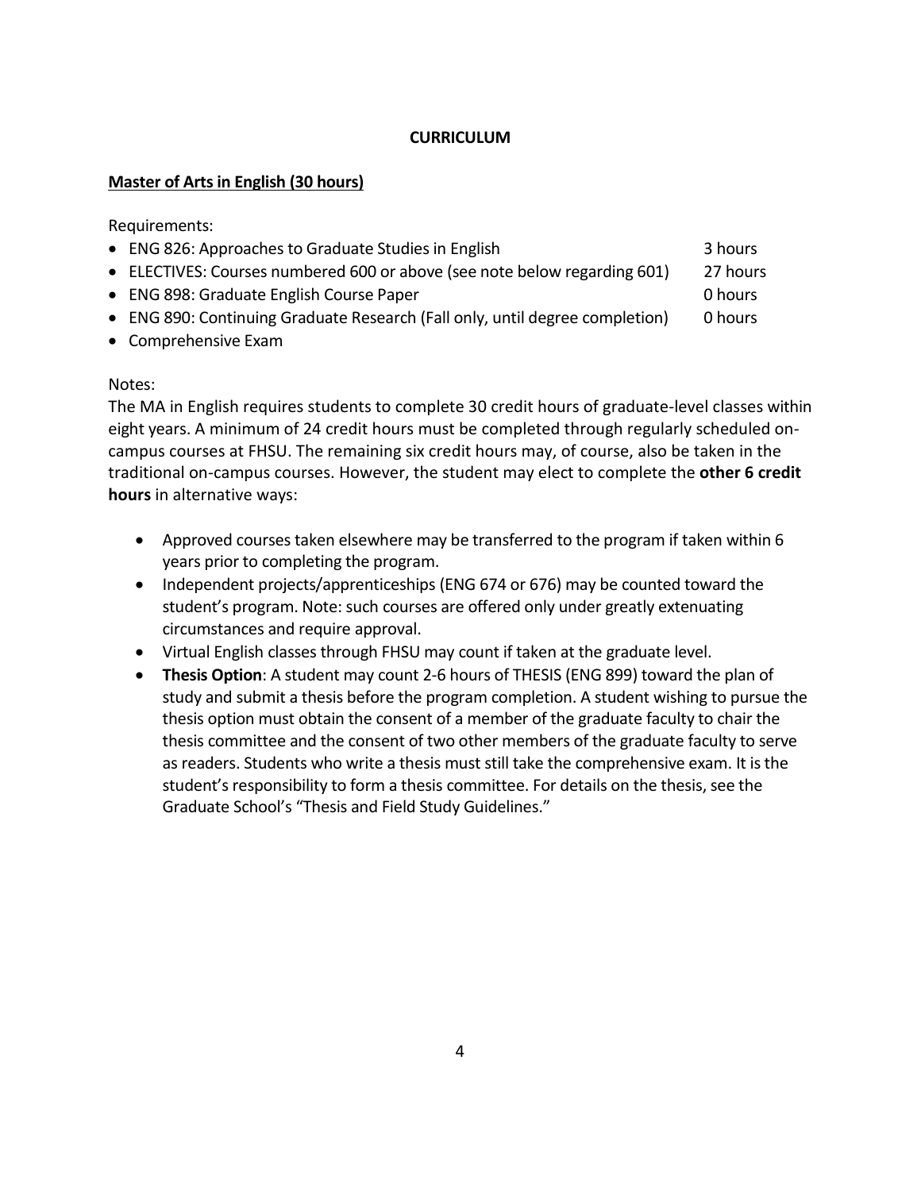# **CURRICULUM**

# **Master of Arts in English (30 hours)**

Requirements:

| • ENG 826: Approaches to Graduate Studies in English                         | 3 hours  |
|------------------------------------------------------------------------------|----------|
| • ELECTIVES: Courses numbered 600 or above (see note below regarding 601)    | 27 hours |
| • ENG 898: Graduate English Course Paper                                     | 0 hours  |
| • ENG 890: Continuing Graduate Research (Fall only, until degree completion) | 0 hours  |
| • Comprehensive Exam                                                         |          |

### Notes:

The MA in English requires students to complete 30 credit hours of graduate-level classes within eight years. A minimum of 24 credit hours must be completed through regularly scheduled oncampus courses at FHSU. The remaining six credit hours may, of course, also be taken in the traditional on-campus courses. However, the student may elect to complete the **other 6 credit hours** in alternative ways:

- Approved courses taken elsewhere may be transferred to the program if taken within 6 years prior to completing the program.
- Independent projects/apprenticeships (ENG 674 or 676) may be counted toward the student's program. Note: such courses are offered only under greatly extenuating circumstances and require approval.
- Virtual English classes through FHSU may count if taken at the graduate level.
- **Thesis Option**: A student may count 2-6 hours of THESIS (ENG 899) toward the plan of study and submit a thesis before the program completion. A student wishing to pursue the thesis option must obtain the consent of a member of the graduate faculty to chair the thesis committee and the consent of two other members of the graduate faculty to serve as readers. Students who write a thesis must still take the comprehensive exam. It is the student's responsibility to form a thesis committee. For details on the thesis, see the Graduate School's "Thesis and Field Study Guidelines."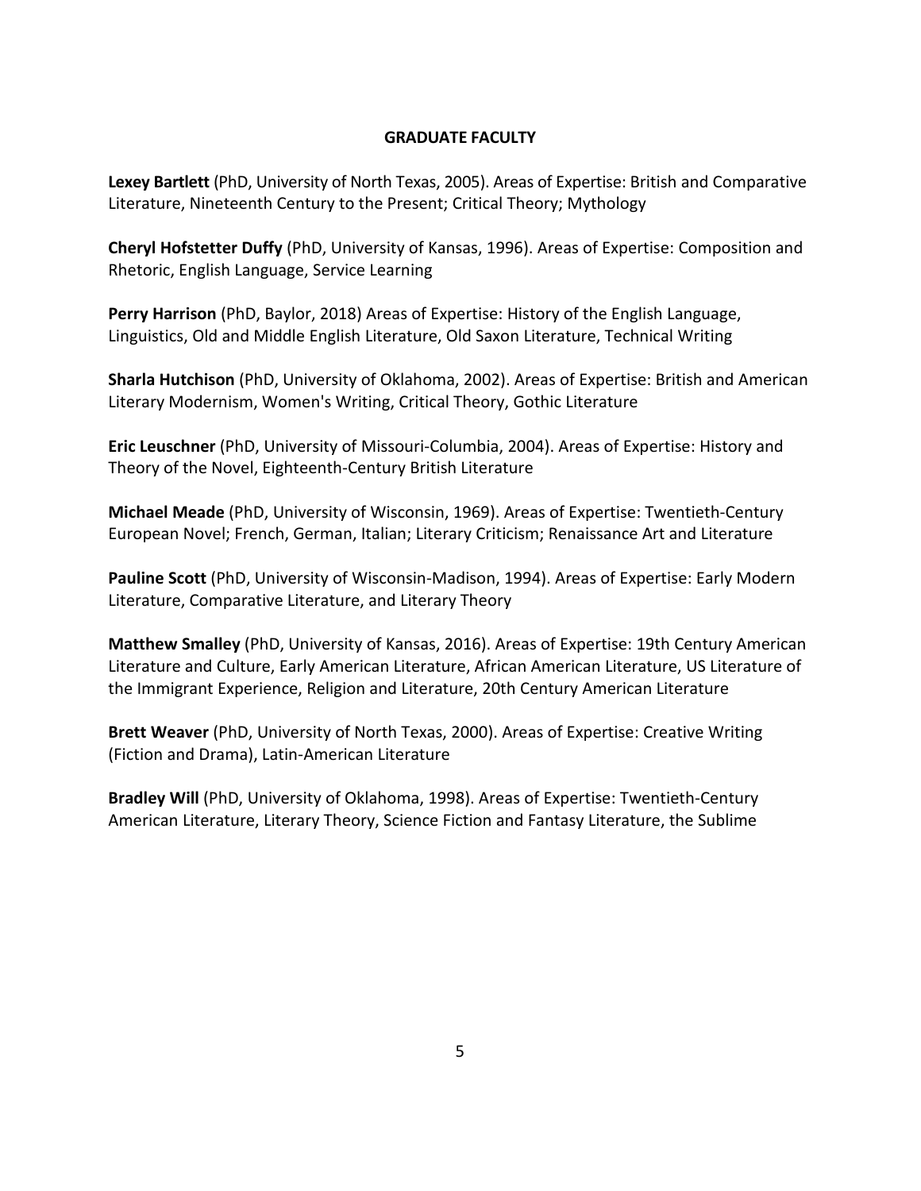## **GRADUATE FACULTY**

**Lexey Bartlett** (PhD, University of North Texas, 2005). Areas of Expertise: British and Comparative Literature, Nineteenth Century to the Present; Critical Theory; Mythology

**Cheryl Hofstetter Duffy** (PhD, University of Kansas, 1996). Areas of Expertise: Composition and Rhetoric, English Language, Service Learning

**Perry Harrison** (PhD, Baylor, 2018) Areas of Expertise: History of the English Language, Linguistics, Old and Middle English Literature, Old Saxon Literature, Technical Writing

**Sharla Hutchison** (PhD, University of Oklahoma, 2002). Areas of Expertise: British and American Literary Modernism, Women's Writing, Critical Theory, Gothic Literature

**Eric Leuschner** (PhD, University of Missouri-Columbia, 2004). Areas of Expertise: History and Theory of the Novel, Eighteenth-Century British Literature

**Michael Meade** (PhD, University of Wisconsin, 1969). Areas of Expertise: Twentieth-Century European Novel; French, German, Italian; Literary Criticism; Renaissance Art and Literature

**Pauline Scott** (PhD, University of Wisconsin-Madison, 1994). Areas of Expertise: Early Modern Literature, Comparative Literature, and Literary Theory

**Matthew Smalley** (PhD, University of Kansas, 2016). Areas of Expertise: 19th Century American Literature and Culture, Early American Literature, African American Literature, US Literature of the Immigrant Experience, Religion and Literature, 20th Century American Literature

**Brett Weaver** (PhD, University of North Texas, 2000). Areas of Expertise: Creative Writing (Fiction and Drama), Latin-American Literature

**Bradley Will** (PhD, University of Oklahoma, 1998). Areas of Expertise: Twentieth-Century American Literature, Literary Theory, Science Fiction and Fantasy Literature, the Sublime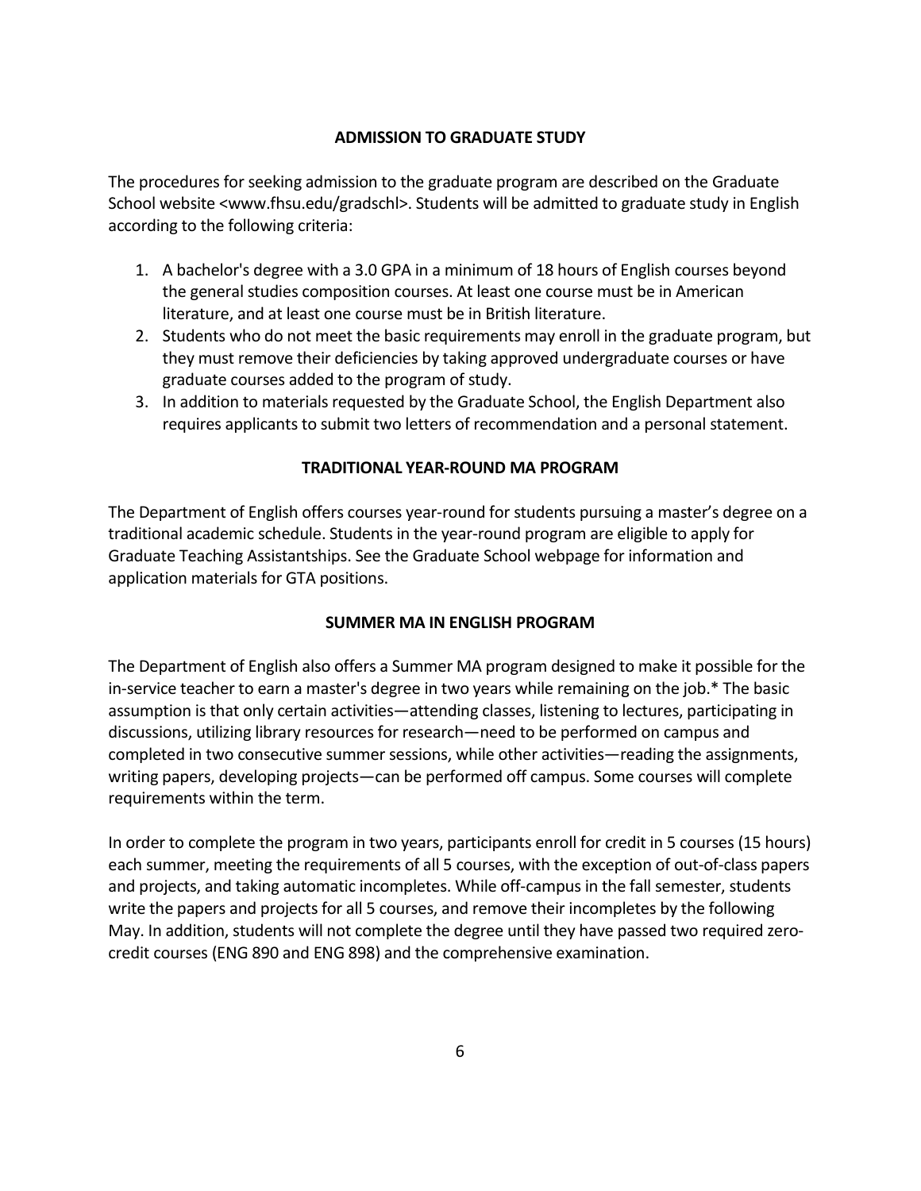## **ADMISSION TO GRADUATE STUDY**

The procedures for seeking admission to the graduate program are described on the Graduate School website <www.fhsu.edu/gradschl>. Students will be admitted to graduate study in English according to the following criteria:

- 1. A bachelor's degree with a 3.0 GPA in a minimum of 18 hours of English courses beyond the general studies composition courses. At least one course must be in American literature, and at least one course must be in British literature.
- 2. Students who do not meet the basic requirements may enroll in the graduate program, but they must remove their deficiencies by taking approved undergraduate courses or have graduate courses added to the program of study.
- 3. In addition to materials requested by the Graduate School, the English Department also requires applicants to submit two letters of recommendation and a personal statement.

# **TRADITIONAL YEAR-ROUND MA PROGRAM**

The Department of English offers courses year-round for students pursuing a master's degree on a traditional academic schedule. Students in the year-round program are eligible to apply for Graduate Teaching Assistantships. See the Graduate School webpage for information and application materials for GTA positions.

## **SUMMER MA IN ENGLISH PROGRAM**

The Department of English also offers a Summer MA program designed to make it possible for the in-service teacher to earn a master's degree in two years while remaining on the job.\* The basic assumption is that only certain activities—attending classes, listening to lectures, participating in discussions, utilizing library resources for research—need to be performed on campus and completed in two consecutive summer sessions, while other activities—reading the assignments, writing papers, developing projects—can be performed off campus. Some courses will complete requirements within the term.

In order to complete the program in two years, participants enroll for credit in 5 courses (15 hours) each summer, meeting the requirements of all 5 courses, with the exception of out-of-class papers and projects, and taking automatic incompletes. While off-campus in the fall semester, students write the papers and projects for all 5 courses, and remove their incompletes by the following May. In addition, students will not complete the degree until they have passed two required zerocredit courses (ENG 890 and ENG 898) and the comprehensive examination.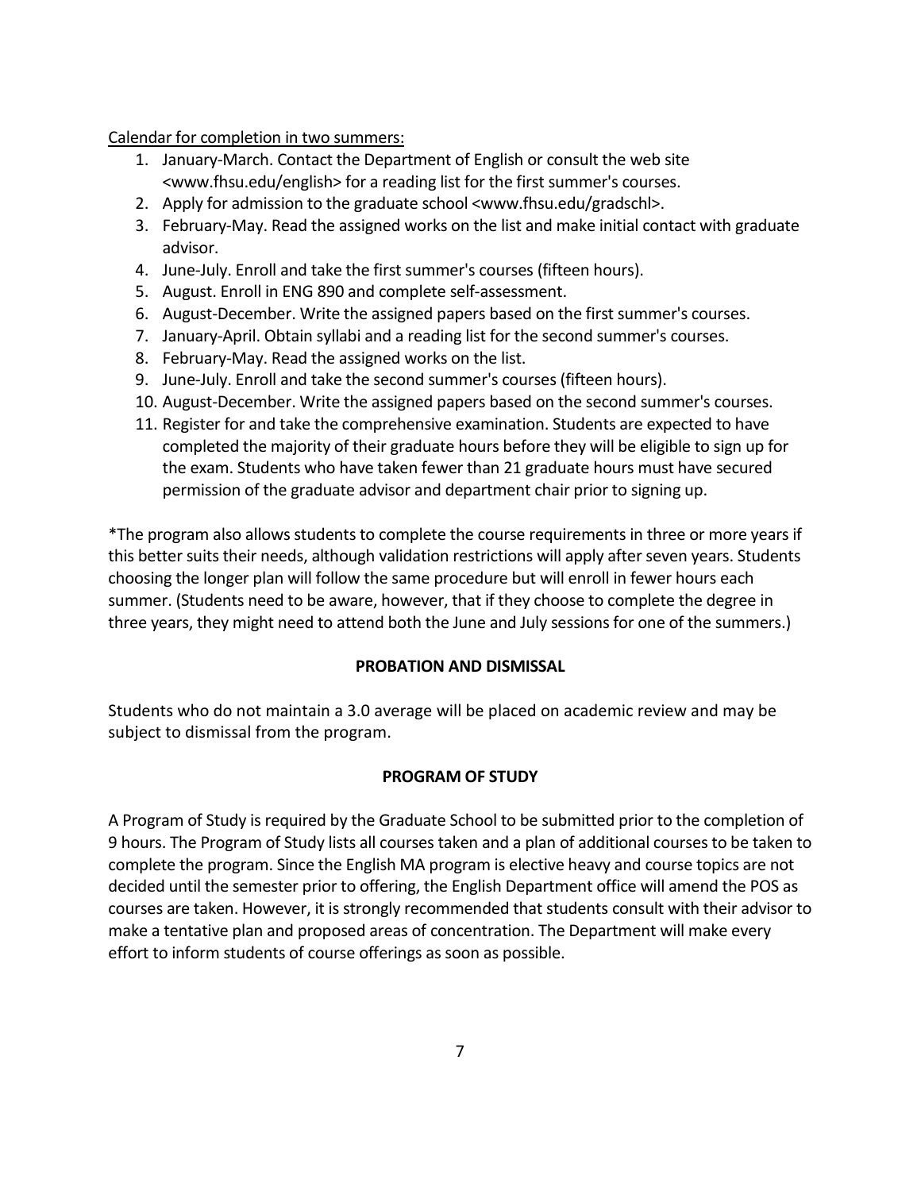Calendar for completion in two summers:

- 1. January-March. Contact the Department of English or consult the web site <www.fhsu.edu/english> for a reading list for the first summer's courses.
- 2. Apply for admission to the graduate school <www.fhsu.edu/gradschl>.
- 3. February-May. Read the assigned works on the list and make initial contact with graduate advisor.
- 4. June-July. Enroll and take the first summer's courses (fifteen hours).
- 5. August. Enroll in ENG 890 and complete self-assessment.
- 6. August-December. Write the assigned papers based on the first summer's courses.
- 7. January-April. Obtain syllabi and a reading list for the second summer's courses.
- 8. February-May. Read the assigned works on the list.
- 9. June-July. Enroll and take the second summer's courses (fifteen hours).
- 10. August-December. Write the assigned papers based on the second summer's courses.
- 11. Register for and take the comprehensive examination. Students are expected to have completed the majority of their graduate hours before they will be eligible to sign up for the exam. Students who have taken fewer than 21 graduate hours must have secured permission of the graduate advisor and department chair prior to signing up.

\*The program also allows students to complete the course requirements in three or more years if this better suits their needs, although validation restrictions will apply after seven years. Students choosing the longer plan will follow the same procedure but will enroll in fewer hours each summer. (Students need to be aware, however, that if they choose to complete the degree in three years, they might need to attend both the June and July sessions for one of the summers.)

## **PROBATION AND DISMISSAL**

Students who do not maintain a 3.0 average will be placed on academic review and may be subject to dismissal from the program.

## **PROGRAM OF STUDY**

A Program of Study is required by the Graduate School to be submitted prior to the completion of 9 hours. The Program of Study lists all courses taken and a plan of additional courses to be taken to complete the program. Since the English MA program is elective heavy and course topics are not decided until the semester prior to offering, the English Department office will amend the POS as courses are taken. However, it is strongly recommended that students consult with their advisor to make a tentative plan and proposed areas of concentration. The Department will make every effort to inform students of course offerings as soon as possible.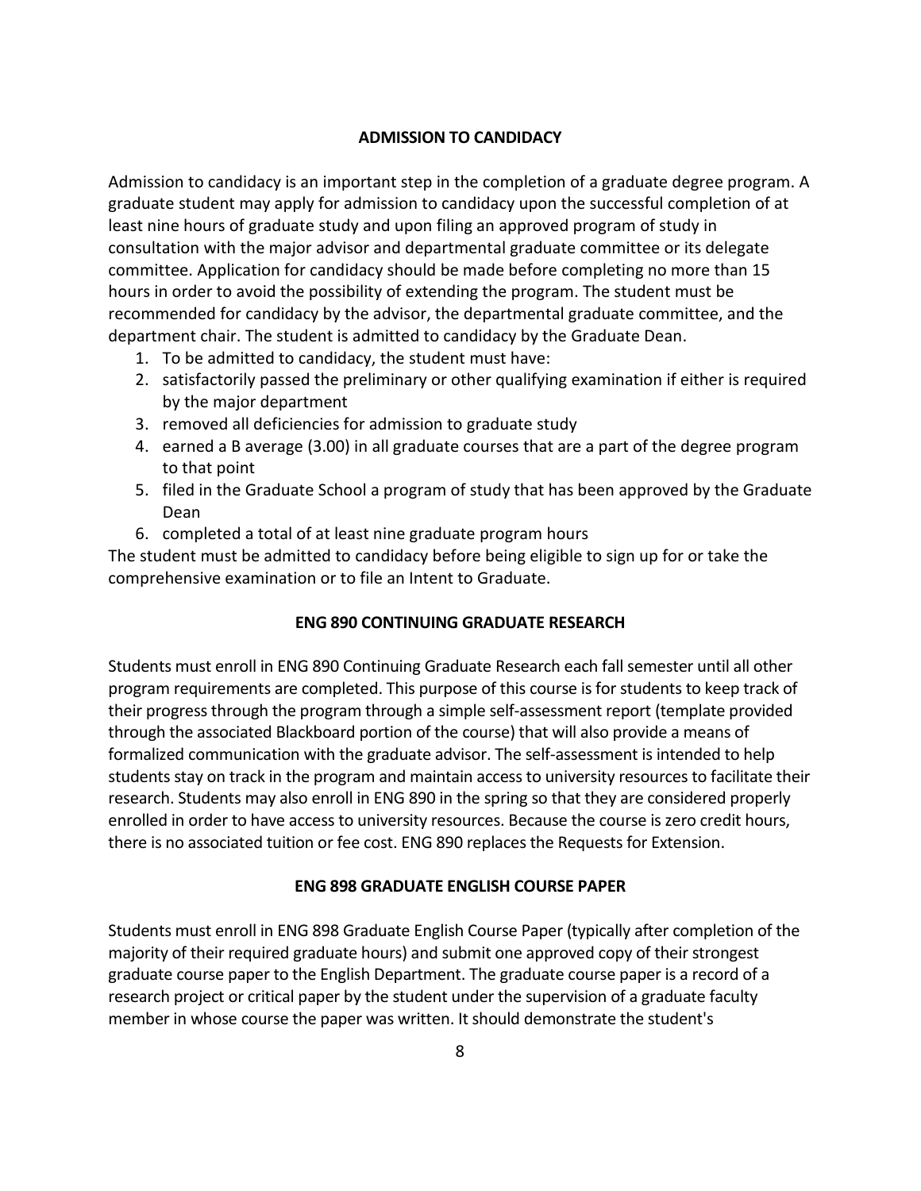#### **ADMISSION TO CANDIDACY**

Admission to candidacy is an important step in the completion of a graduate degree program. A graduate student may apply for admission to candidacy upon the successful completion of at least nine hours of graduate study and upon filing an approved program of study in consultation with the major advisor and departmental graduate committee or its delegate committee. Application for candidacy should be made before completing no more than 15 hours in order to avoid the possibility of extending the program. The student must be recommended for candidacy by the advisor, the departmental graduate committee, and the department chair. The student is admitted to candidacy by the Graduate Dean.

- 1. To be admitted to candidacy, the student must have:
- 2. satisfactorily passed the preliminary or other qualifying examination if either is required by the major department
- 3. removed all deficiencies for admission to graduate study
- 4. earned a B average (3.00) in all graduate courses that are a part of the degree program to that point
- 5. filed in the Graduate School a program of study that has been approved by the Graduate Dean
- 6. completed a total of at least nine graduate program hours

The student must be admitted to candidacy before being eligible to sign up for or take the comprehensive examination or to file an Intent to Graduate.

#### **ENG 890 CONTINUING GRADUATE RESEARCH**

Students must enroll in ENG 890 Continuing Graduate Research each fall semester until all other program requirements are completed. This purpose of this course is for students to keep track of their progress through the program through a simple self-assessment report (template provided through the associated Blackboard portion of the course) that will also provide a means of formalized communication with the graduate advisor. The self-assessment is intended to help students stay on track in the program and maintain access to university resources to facilitate their research. Students may also enroll in ENG 890 in the spring so that they are considered properly enrolled in order to have access to university resources. Because the course is zero credit hours, there is no associated tuition or fee cost. ENG 890 replaces the Requests for Extension.

#### **ENG 898 GRADUATE ENGLISH COURSE PAPER**

Students must enroll in ENG 898 Graduate English Course Paper (typically after completion of the majority of their required graduate hours) and submit one approved copy of their strongest graduate course paper to the English Department. The graduate course paper is a record of a research project or critical paper by the student under the supervision of a graduate faculty member in whose course the paper was written. It should demonstrate the student's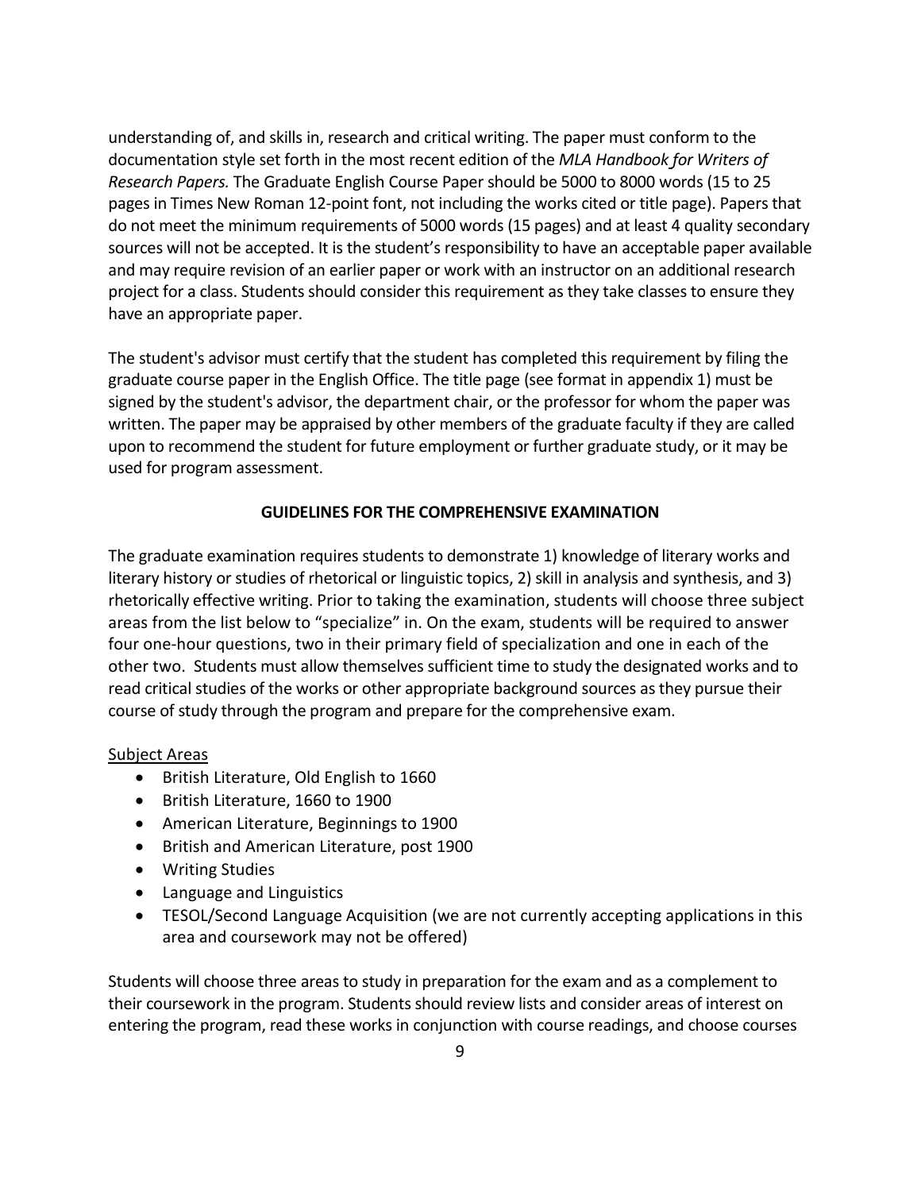understanding of, and skills in, research and critical writing. The paper must conform to the documentation style set forth in the most recent edition of the *MLA Handbook for Writers of Research Papers.* The Graduate English Course Paper should be 5000 to 8000 words (15 to 25 pages in Times New Roman 12-point font, not including the works cited or title page). Papers that do not meet the minimum requirements of 5000 words (15 pages) and at least 4 quality secondary sources will not be accepted. It is the student's responsibility to have an acceptable paper available and may require revision of an earlier paper or work with an instructor on an additional research project for a class. Students should consider this requirement as they take classes to ensure they have an appropriate paper.

The student's advisor must certify that the student has completed this requirement by filing the graduate course paper in the English Office. The title page (see format in appendix 1) must be signed by the student's advisor, the department chair, or the professor for whom the paper was written. The paper may be appraised by other members of the graduate faculty if they are called upon to recommend the student for future employment or further graduate study, or it may be used for program assessment.

## **GUIDELINES FOR THE COMPREHENSIVE EXAMINATION**

The graduate examination requires students to demonstrate 1) knowledge of literary works and literary history or studies of rhetorical or linguistic topics, 2) skill in analysis and synthesis, and 3) rhetorically effective writing. Prior to taking the examination, students will choose three subject areas from the list below to "specialize" in. On the exam, students will be required to answer four one-hour questions, two in their primary field of specialization and one in each of the other two. Students must allow themselves sufficient time to study the designated works and to read critical studies of the works or other appropriate background sources as they pursue their course of study through the program and prepare for the comprehensive exam.

#### Subject Areas

- British Literature, Old English to 1660
- British Literature, 1660 to 1900
- American Literature, Beginnings to 1900
- British and American Literature, post 1900
- Writing Studies
- Language and Linguistics
- TESOL/Second Language Acquisition (we are not currently accepting applications in this area and coursework may not be offered)

Students will choose three areas to study in preparation for the exam and as a complement to their coursework in the program. Students should review lists and consider areas of interest on entering the program, read these works in conjunction with course readings, and choose courses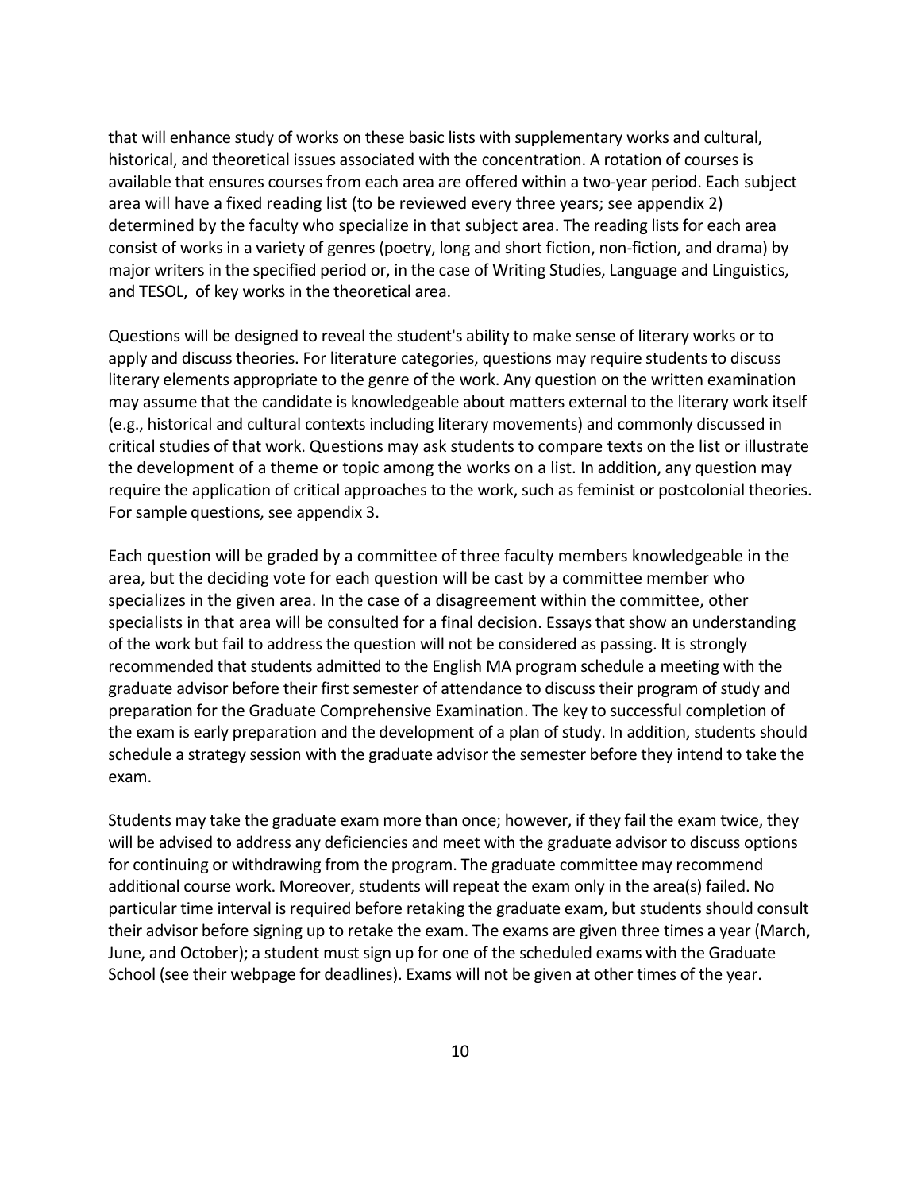that will enhance study of works on these basic lists with supplementary works and cultural, historical, and theoretical issues associated with the concentration. A rotation of courses is available that ensures courses from each area are offered within a two-year period. Each subject area will have a fixed reading list (to be reviewed every three years; see appendix 2) determined by the faculty who specialize in that subject area. The reading lists for each area consist of works in a variety of genres (poetry, long and short fiction, non-fiction, and drama) by major writers in the specified period or, in the case of Writing Studies, Language and Linguistics, and TESOL, of key works in the theoretical area.

Questions will be designed to reveal the student's ability to make sense of literary works or to apply and discuss theories. For literature categories, questions may require students to discuss literary elements appropriate to the genre of the work. Any question on the written examination may assume that the candidate is knowledgeable about matters external to the literary work itself (e.g., historical and cultural contexts including literary movements) and commonly discussed in critical studies of that work. Questions may ask students to compare texts on the list or illustrate the development of a theme or topic among the works on a list. In addition, any question may require the application of critical approaches to the work, such as feminist or postcolonial theories. For sample questions, see appendix 3.

Each question will be graded by a committee of three faculty members knowledgeable in the area, but the deciding vote for each question will be cast by a committee member who specializes in the given area. In the case of a disagreement within the committee, other specialists in that area will be consulted for a final decision. Essays that show an understanding of the work but fail to address the question will not be considered as passing. It is strongly recommended that students admitted to the English MA program schedule a meeting with the graduate advisor before their first semester of attendance to discuss their program of study and preparation for the Graduate Comprehensive Examination. The key to successful completion of the exam is early preparation and the development of a plan of study. In addition, students should schedule a strategy session with the graduate advisor the semester before they intend to take the exam.

Students may take the graduate exam more than once; however, if they fail the exam twice, they will be advised to address any deficiencies and meet with the graduate advisor to discuss options for continuing or withdrawing from the program. The graduate committee may recommend additional course work. Moreover, students will repeat the exam only in the area(s) failed. No particular time interval is required before retaking the graduate exam, but students should consult their advisor before signing up to retake the exam. The exams are given three times a year (March, June, and October); a student must sign up for one of the scheduled exams with the Graduate School (see their webpage for deadlines). Exams will not be given at other times of the year.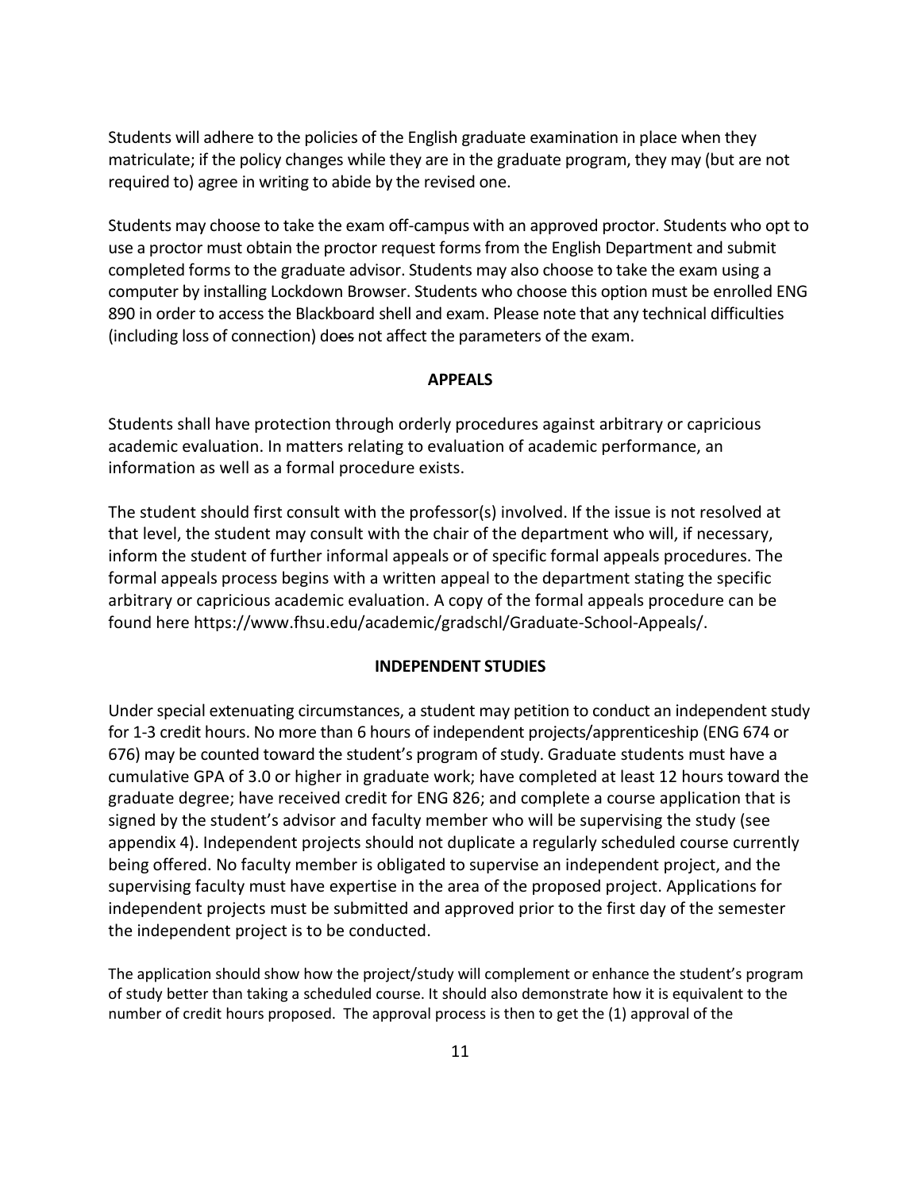Students will adhere to the policies of the English graduate examination in place when they matriculate; if the policy changes while they are in the graduate program, they may (but are not required to) agree in writing to abide by the revised one.

Students may choose to take the exam off-campus with an approved proctor. Students who opt to use a proctor must obtain the proctor request forms from the English Department and submit completed forms to the graduate advisor. Students may also choose to take the exam using a computer by installing Lockdown Browser. Students who choose this option must be enrolled ENG 890 in order to access the Blackboard shell and exam. Please note that any technical difficulties (including loss of connection) does not affect the parameters of the exam.

#### **APPEALS**

Students shall have protection through orderly procedures against arbitrary or capricious academic evaluation. In matters relating to evaluation of academic performance, an information as well as a formal procedure exists.

The student should first consult with the professor(s) involved. If the issue is not resolved at that level, the student may consult with the chair of the department who will, if necessary, inform the student of further informal appeals or of specific formal appeals procedures. The formal appeals process begins with a written appeal to the department stating the specific arbitrary or capricious academic evaluation. A copy of the formal appeals procedure can be found here https://www.fhsu.edu/academic/gradschl/Graduate-School-Appeals/.

#### **INDEPENDENT STUDIES**

Under special extenuating circumstances, a student may petition to conduct an independent study for 1-3 credit hours. No more than 6 hours of independent projects/apprenticeship (ENG 674 or 676) may be counted toward the student's program of study. Graduate students must have a cumulative GPA of 3.0 or higher in graduate work; have completed at least 12 hours toward the graduate degree; have received credit for ENG 826; and complete a course application that is signed by the student's advisor and faculty member who will be supervising the study (see appendix 4). Independent projects should not duplicate a regularly scheduled course currently being offered. No faculty member is obligated to supervise an independent project, and the supervising faculty must have expertise in the area of the proposed project. Applications for independent projects must be submitted and approved prior to the first day of the semester the independent project is to be conducted.

The application should show how the project/study will complement or enhance the student's program of study better than taking a scheduled course. It should also demonstrate how it is equivalent to the number of credit hours proposed. The approval process is then to get the (1) approval of the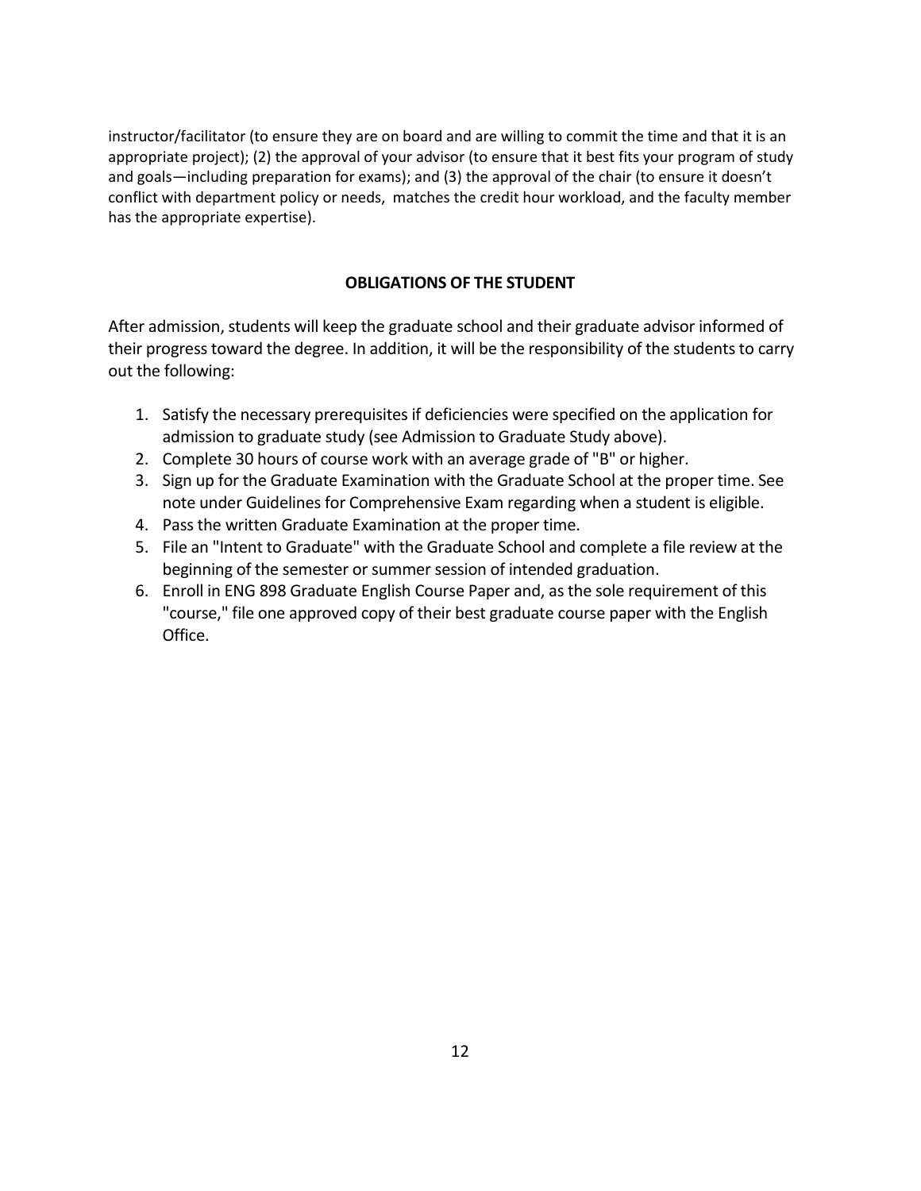instructor/facilitator (to ensure they are on board and are willing to commit the time and that it is an appropriate project); (2) the approval of your advisor (to ensure that it best fits your program of study and goals—including preparation for exams); and (3) the approval of the chair (to ensure it doesn't conflict with department policy or needs, matches the credit hour workload, and the faculty member has the appropriate expertise).

### **OBLIGATIONS OF THE STUDENT**

After admission, students will keep the graduate school and their graduate advisor informed of their progress toward the degree. In addition, it will be the responsibility of the students to carry out the following:

- 1. Satisfy the necessary prerequisites if deficiencies were specified on the application for admission to graduate study (see Admission to Graduate Study above).
- 2. Complete 30 hours of course work with an average grade of "B" or higher.
- 3. Sign up for the Graduate Examination with the Graduate School at the proper time. See note under Guidelines for Comprehensive Exam regarding when a student is eligible.
- 4. Pass the written Graduate Examination at the proper time.
- 5. File an "Intent to Graduate" with the Graduate School and complete a file review at the beginning of the semester or summer session of intended graduation.
- 6. Enroll in ENG 898 Graduate English Course Paper and, as the sole requirement of this "course," file one approved copy of their best graduate course paper with the English Office.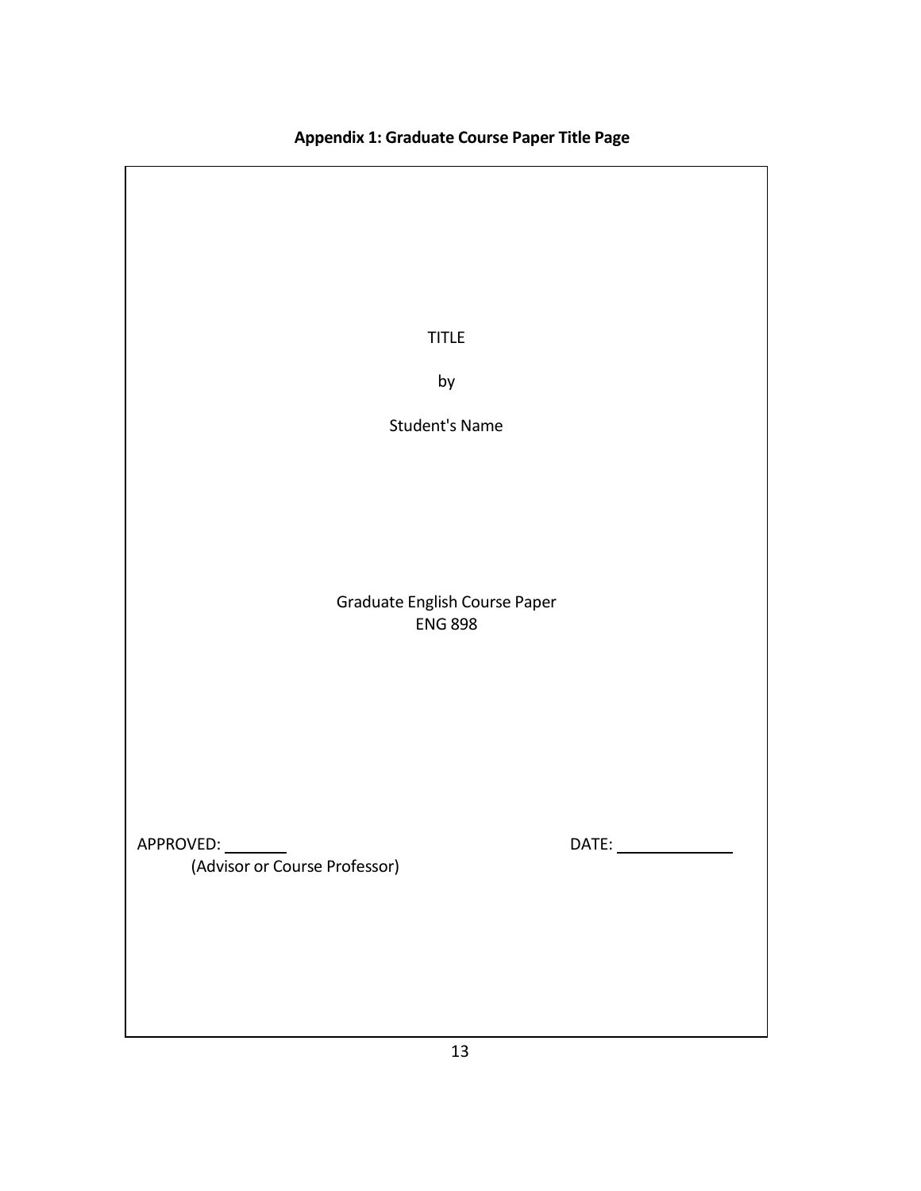# **Appendix 1: Graduate Course Paper Title Page**

TITLE

by

Student's Name

Graduate English Course Paper ENG 898

APPROVED: DATE:

(Advisor or Course Professor)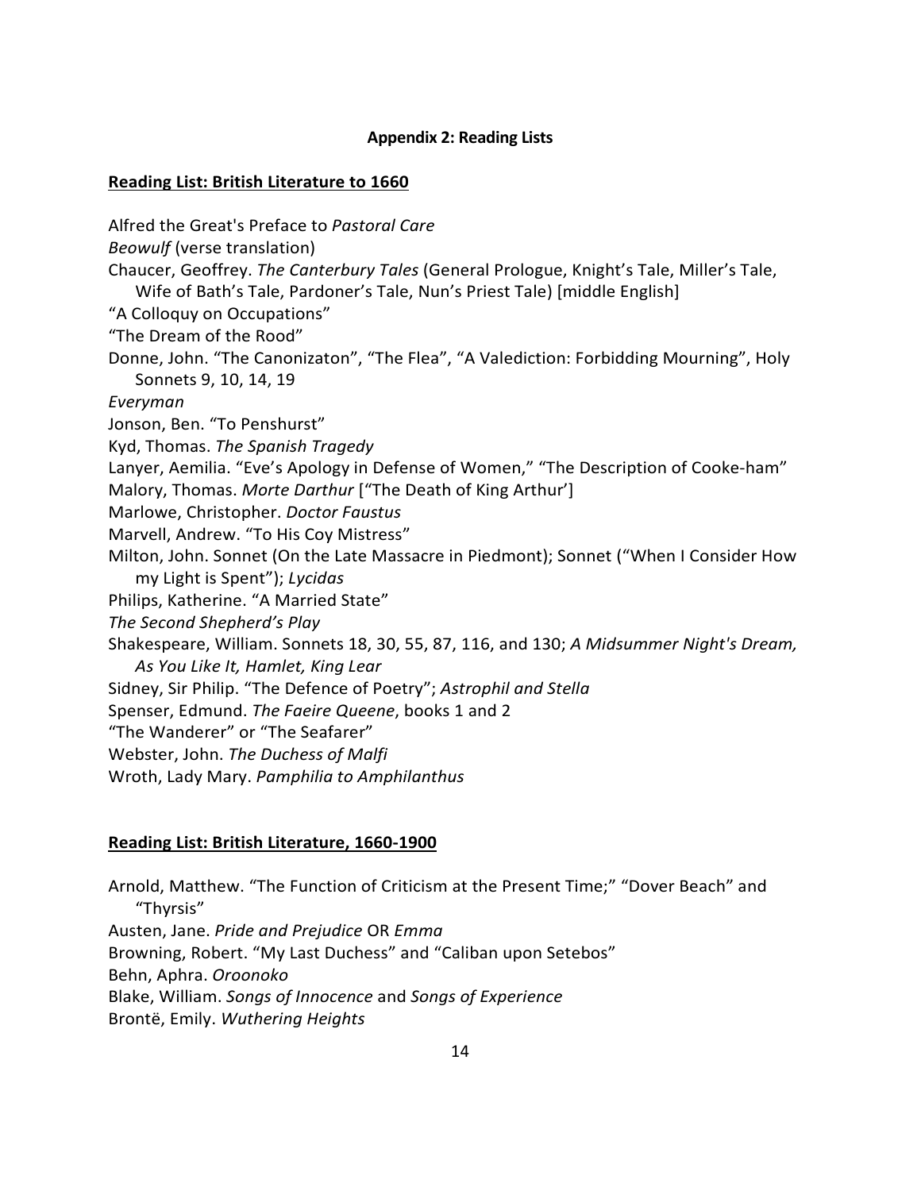### **Appendix 2: Reading Lists**

#### **Reading List: British Literature to 1660**

Alfred the Great's Preface to *Pastoral Care Beowulf* (verse translation) Chaucer, Geoffrey. *The Canterbury Tales* (General Prologue, Knight's Tale, Miller's Tale, Wife of Bath's Tale, Pardoner's Tale, Nun's Priest Tale) [middle English] "A Colloquy on Occupations" "The Dream of the Rood" Donne, John. "The Canonizaton", "The Flea", "A Valediction: Forbidding Mourning", Holy Sonnets 9, 10, 14, 19 *Everyman* Jonson, Ben. "To Penshurst" Kyd, Thomas. *The Spanish Tragedy* Lanyer, Aemilia. "Eve's Apology in Defense of Women," "The Description of Cooke-ham" Malory, Thomas. *Morte Darthur* ["The Death of King Arthur'] Marlowe, Christopher. *Doctor Faustus* Marvell, Andrew. "To His Coy Mistress" Milton, John. Sonnet (On the Late Massacre in Piedmont); Sonnet ("When I Consider How my Light is Spent"); *Lycidas* Philips, Katherine. "A Married State" *The Second Shepherd's Play* Shakespeare, William. Sonnets 18, 30, 55, 87, 116, and 130; *A Midsummer Night's Dream, As You Like It, Hamlet, King Lear* Sidney, Sir Philip. "The Defence of Poetry"; *Astrophil and Stella* Spenser, Edmund. *The Faeire Queene*, books 1 and 2 "The Wanderer" or "The Seafarer" Webster, John. *The Duchess of Malfi* Wroth, Lady Mary. *Pamphilia to Amphilanthus*

## **Reading List: British Literature, 1660-1900**

Arnold, Matthew. "The Function of Criticism at the Present Time;" "Dover Beach" and "Thyrsis" Austen, Jane. *Pride and Prejudice* OR *Emma* Browning, Robert. "My Last Duchess" and "Caliban upon Setebos" Behn, Aphra. *Oroonoko* Blake, William. *Songs of Innocence* and *Songs of Experience* Brontë, Emily. *Wuthering Heights*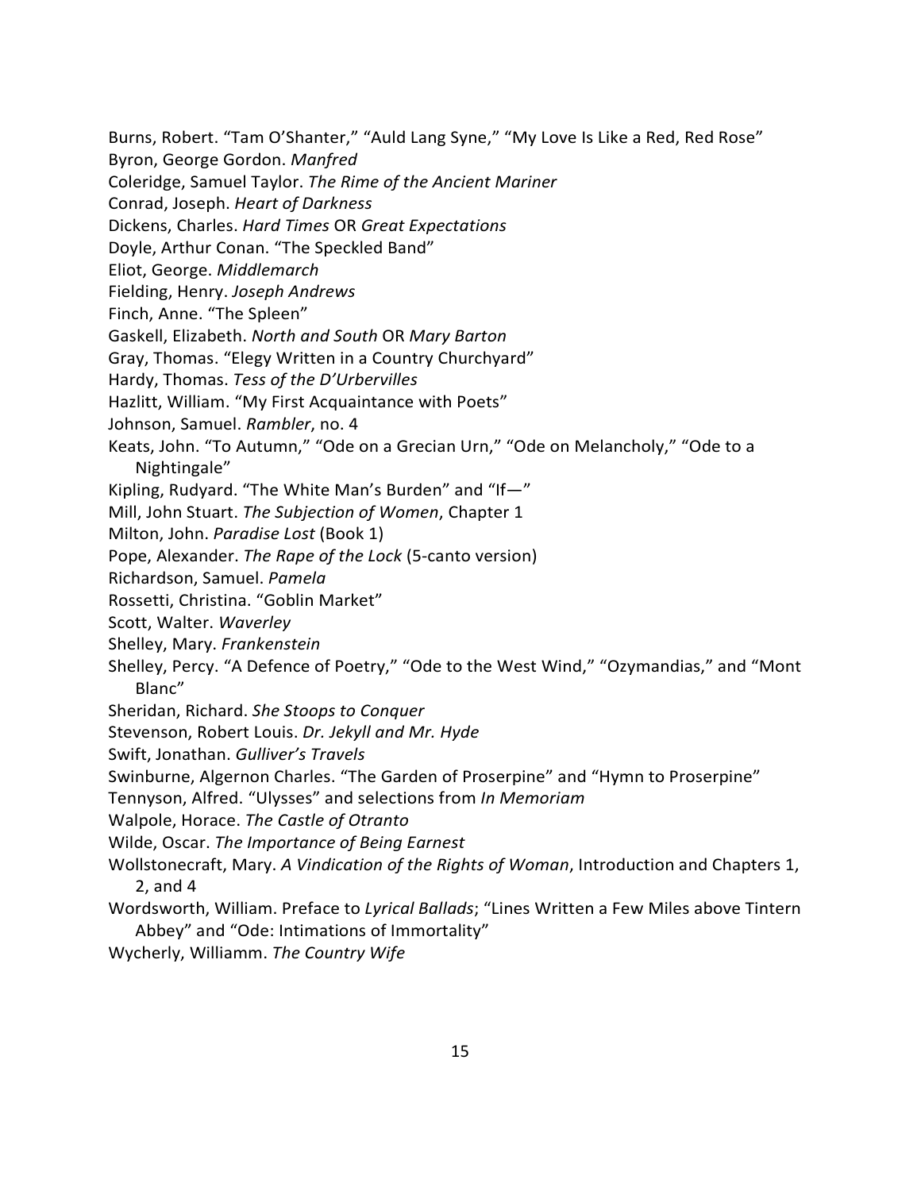Burns, Robert. "Tam O'Shanter," "Auld Lang Syne," "My Love Is Like a Red, Red Rose"

Byron, George Gordon. *Manfred*

Coleridge, Samuel Taylor. *The Rime of the Ancient Mariner*

Conrad, Joseph. *Heart of Darkness*

Dickens, Charles. *Hard Times* OR *Great Expectations*

Doyle, Arthur Conan. "The Speckled Band"

Eliot, George. *Middlemarch*

Fielding, Henry. *Joseph Andrews*

Finch, Anne. "The Spleen"

Gaskell, Elizabeth. *North and South* OR *Mary Barton* 

Gray, Thomas. "Elegy Written in a Country Churchyard"

Hardy, Thomas. *Tess of the D'Urbervilles*

Hazlitt, William. "My First Acquaintance with Poets"

Johnson, Samuel. *Rambler*, no. 4

Keats, John. "To Autumn," "Ode on a Grecian Urn," "Ode on Melancholy," "Ode to a Nightingale"

Kipling, Rudyard. "The White Man's Burden" and "If—"

Mill, John Stuart. *The Subjection of Women*, Chapter 1

Milton, John. *Paradise Lost* (Book 1)

Pope, Alexander. *The Rape of the Lock* (5-canto version)

Richardson, Samuel. *Pamela*

Rossetti, Christina. "Goblin Market"

Scott, Walter. *Waverley*

Shelley, Mary. *Frankenstein*

- Shelley, Percy. "A Defence of Poetry," "Ode to the West Wind," "Ozymandias," and "Mont Blanc"
- Sheridan, Richard. *She Stoops to Conquer*

Stevenson, Robert Louis. *Dr. Jekyll and Mr. Hyde*

Swift, Jonathan. *Gulliver's Travels*

Swinburne, Algernon Charles. "The Garden of Proserpine" and "Hymn to Proserpine"

Tennyson, Alfred. "Ulysses" and selections from *In Memoriam*

Walpole, Horace. *The Castle of Otranto*

Wilde, Oscar. *The Importance of Being Earnest*

- Wollstonecraft, Mary. *A Vindication of the Rights of Woman*, Introduction and Chapters 1, 2, and 4
- Wordsworth, William. Preface to *Lyrical Ballads*; "Lines Written a Few Miles above Tintern Abbey" and "Ode: Intimations of Immortality"
- Wycherly, Williamm. *The Country Wife*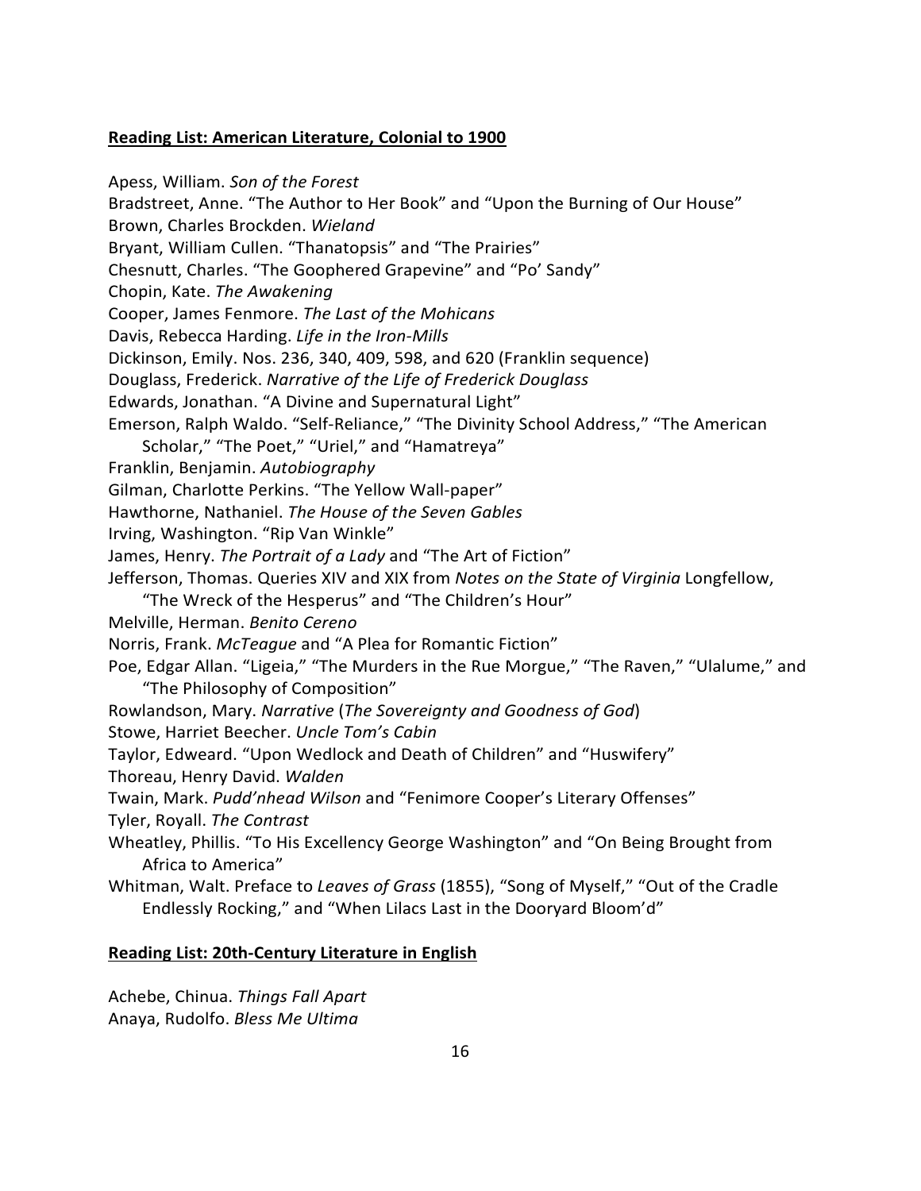#### **Reading List: American Literature, Colonial to 1900**

Apess, William. *Son of the Forest* Bradstreet, Anne. "The Author to Her Book" and "Upon the Burning of Our House" Brown, Charles Brockden. *Wieland* Bryant, William Cullen. "Thanatopsis" and "The Prairies" Chesnutt, Charles. "The Goophered Grapevine" and "Po' Sandy" Chopin, Kate. *The Awakening* Cooper, James Fenmore. *The Last of the Mohicans* Davis, Rebecca Harding. *Life in the Iron-Mills* Dickinson, Emily. Nos. 236, 340, 409, 598, and 620 (Franklin sequence) Douglass, Frederick. *Narrative of the Life of Frederick Douglass* Edwards, Jonathan. "A Divine and Supernatural Light" Emerson, Ralph Waldo. "Self-Reliance," "The Divinity School Address," "The American Scholar," "The Poet," "Uriel," and "Hamatreya" Franklin, Benjamin. *Autobiography* Gilman, Charlotte Perkins. "The Yellow Wall-paper" Hawthorne, Nathaniel. *The House of the Seven Gables*  Irving, Washington. "Rip Van Winkle" James, Henry. *The Portrait of a Lady* and "The Art of Fiction" Jefferson, Thomas. Queries XIV and XIX from *Notes on the State of Virginia* Longfellow, "The Wreck of the Hesperus" and "The Children's Hour" Melville, Herman. *Benito Cereno* Norris, Frank. *McTeague* and "A Plea for Romantic Fiction" Poe, Edgar Allan. "Ligeia," "The Murders in the Rue Morgue," "The Raven," "Ulalume," and "The Philosophy of Composition" Rowlandson, Mary. *Narrative* (*The Sovereignty and Goodness of God*) Stowe, Harriet Beecher. *Uncle Tom's Cabin* Taylor, Edweard. "Upon Wedlock and Death of Children" and "Huswifery" Thoreau, Henry David. *Walden* Twain, Mark. *Pudd'nhead Wilson* and "Fenimore Cooper's Literary Offenses" Tyler, Royall. *The Contrast* Wheatley, Phillis. "To His Excellency George Washington" and "On Being Brought from Africa to America" Whitman, Walt. Preface to *Leaves of Grass* (1855), "Song of Myself," "Out of the Cradle Endlessly Rocking," and "When Lilacs Last in the Dooryard Bloom'd"

#### **Reading List: 20th-Century Literature in English**

Achebe, Chinua. *Things Fall Apart*  Anaya, Rudolfo. *Bless Me Ultima*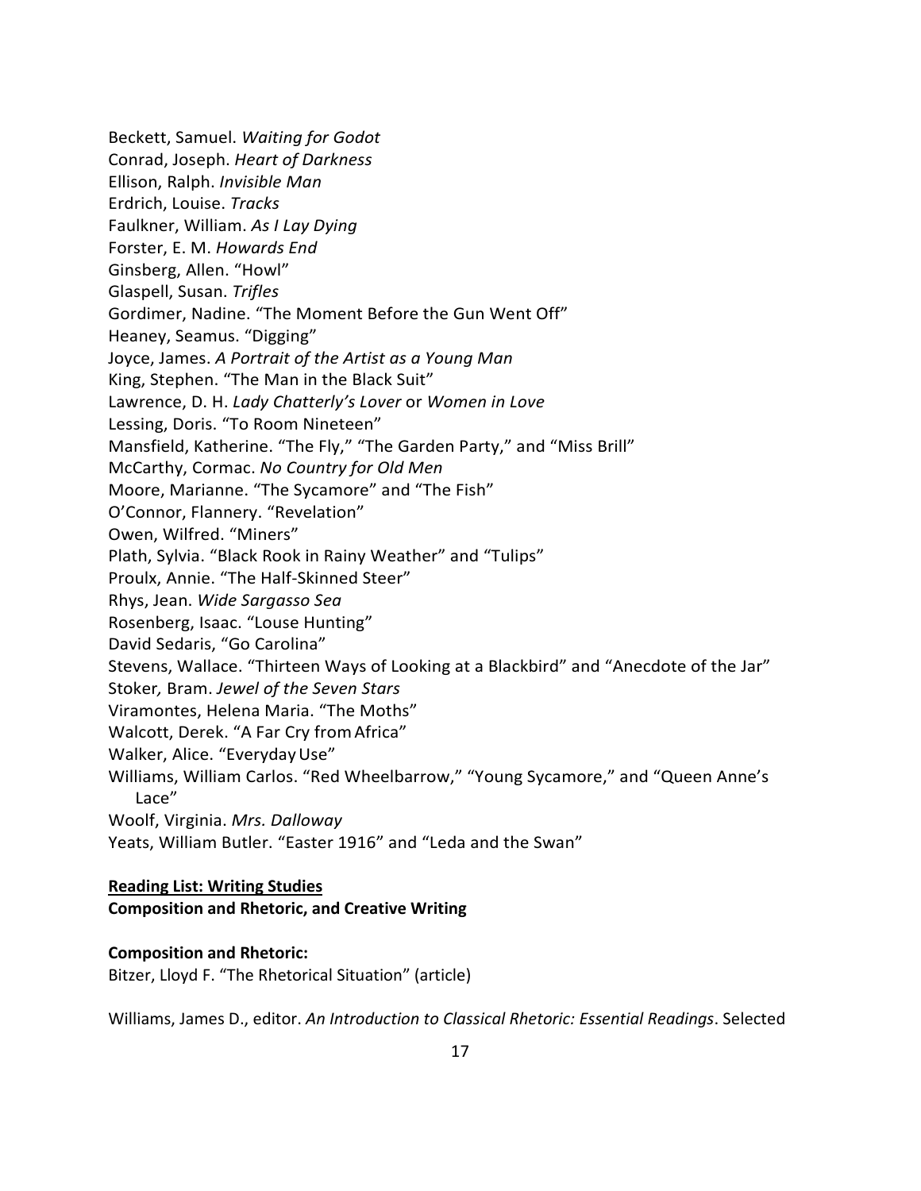Beckett, Samuel. *Waiting for Godot*  Conrad, Joseph. *Heart of Darkness*  Ellison, Ralph. *Invisible Man* Erdrich, Louise. *Tracks* Faulkner, William. *As I Lay Dying* Forster, E. M. *Howards End*  Ginsberg, Allen. "Howl" Glaspell, Susan. *Trifles* Gordimer, Nadine. "The Moment Before the Gun Went Off" Heaney, Seamus. "Digging" Joyce, James. *A Portrait of the Artist as a Young Man* King, Stephen. "The Man in the Black Suit" Lawrence, D. H. *Lady Chatterly's Lover* or *Women in Love* Lessing, Doris. "To Room Nineteen" Mansfield, Katherine. "The Fly," "The Garden Party," and "Miss Brill" McCarthy, Cormac. *No Country for Old Men* Moore, Marianne. "The Sycamore" and "The Fish" O'Connor, Flannery. "Revelation" Owen, Wilfred. "Miners" Plath, Sylvia. "Black Rook in Rainy Weather" and "Tulips" Proulx, Annie. "The Half-Skinned Steer" Rhys, Jean. *Wide Sargasso Sea* Rosenberg, Isaac. "Louse Hunting" David Sedaris, "Go Carolina" Stevens, Wallace. "Thirteen Ways of Looking at a Blackbird" and "Anecdote of the Jar" Stoker*,* Bram. *Jewel of the Seven Stars* Viramontes, Helena Maria. "The Moths" Walcott, Derek. "A Far Cry fromAfrica" Walker, Alice. "Everyday Use" Williams, William Carlos. "Red Wheelbarrow," "Young Sycamore," and "Queen Anne's Lace" Woolf, Virginia. *Mrs. Dalloway* Yeats, William Butler. "Easter 1916" and "Leda and the Swan"

#### **Reading List: Writing Studies**

#### **Composition and Rhetoric, and Creative Writing**

#### **Composition and Rhetoric:**

Bitzer, Lloyd F. "The Rhetorical Situation" (article)

Williams, James D., editor. *An Introduction to Classical Rhetoric: Essential Readings*. Selected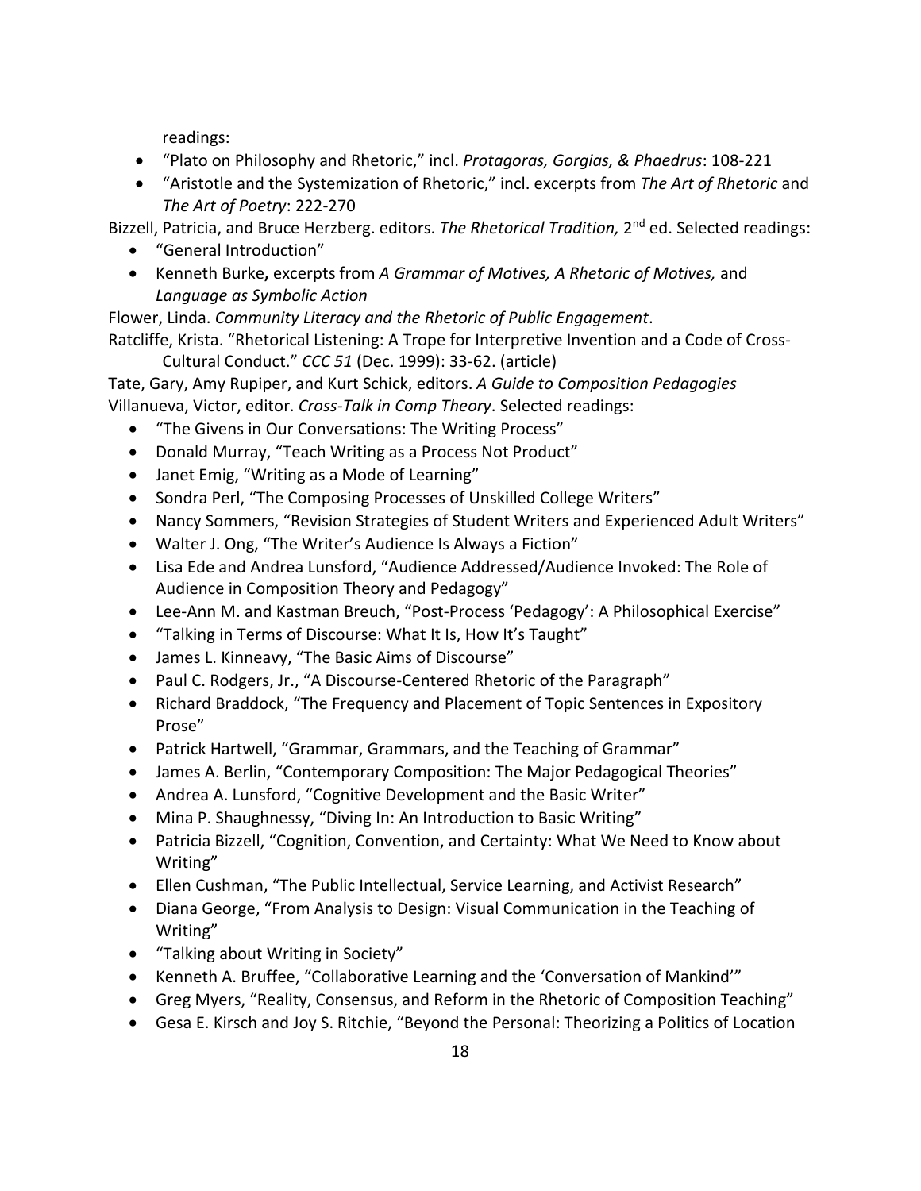readings:

- "Plato on Philosophy and Rhetoric," incl. *Protagoras, Gorgias, & Phaedrus*: 108-221
- "Aristotle and the Systemization of Rhetoric," incl. excerpts from *The Art of Rhetoric* and *The Art of Poetry*: 222-270

Bizzell, Patricia, and Bruce Herzberg. editors. *The Rhetorical Tradition,* 2nd ed. Selected readings:

- "General Introduction"
- Kenneth Burke**,** excerpts from *A Grammar of Motives, A Rhetoric of Motives,* and *Language as Symbolic Action*

Flower, Linda. *Community Literacy and the Rhetoric of Public Engagement*.

Ratcliffe, Krista. "Rhetorical Listening: A Trope for Interpretive Invention and a Code of Cross-Cultural Conduct." *CCC 51* (Dec. 1999): 33-62. (article)

Tate, Gary, Amy Rupiper, and Kurt Schick, editors. *A Guide to Composition Pedagogies* Villanueva, Victor, editor. *Cross-Talk in Comp Theory*. Selected readings:

- "The Givens in Our Conversations: The Writing Process"
- Donald Murray, "Teach Writing as a Process Not Product"
- Janet Emig, "Writing as a Mode of Learning"
- Sondra Perl, "The Composing Processes of Unskilled College Writers"
- Nancy Sommers, "Revision Strategies of Student Writers and Experienced Adult Writers"
- Walter J. Ong, "The Writer's Audience Is Always a Fiction"
- Lisa Ede and Andrea Lunsford, "Audience Addressed/Audience Invoked: The Role of Audience in Composition Theory and Pedagogy"
- Lee-Ann M. and Kastman Breuch, "Post-Process 'Pedagogy': A Philosophical Exercise"
- "Talking in Terms of Discourse: What It Is, How It's Taught"
- James L. Kinneavy, "The Basic Aims of Discourse"
- Paul C. Rodgers, Jr., "A Discourse-Centered Rhetoric of the Paragraph"
- Richard Braddock, "The Frequency and Placement of Topic Sentences in Expository Prose"
- Patrick Hartwell, "Grammar, Grammars, and the Teaching of Grammar"
- James A. Berlin, "Contemporary Composition: The Major Pedagogical Theories"
- Andrea A. Lunsford, "Cognitive Development and the Basic Writer"
- Mina P. Shaughnessy, "Diving In: An Introduction to Basic Writing"
- Patricia Bizzell, "Cognition, Convention, and Certainty: What We Need to Know about Writing"
- Ellen Cushman, "The Public Intellectual, Service Learning, and Activist Research"
- Diana George, "From Analysis to Design: Visual Communication in the Teaching of Writing"
- "Talking about Writing in Society"
- Kenneth A. Bruffee, "Collaborative Learning and the 'Conversation of Mankind'"
- Greg Myers, "Reality, Consensus, and Reform in the Rhetoric of Composition Teaching"
- Gesa E. Kirsch and Joy S. Ritchie, "Beyond the Personal: Theorizing a Politics of Location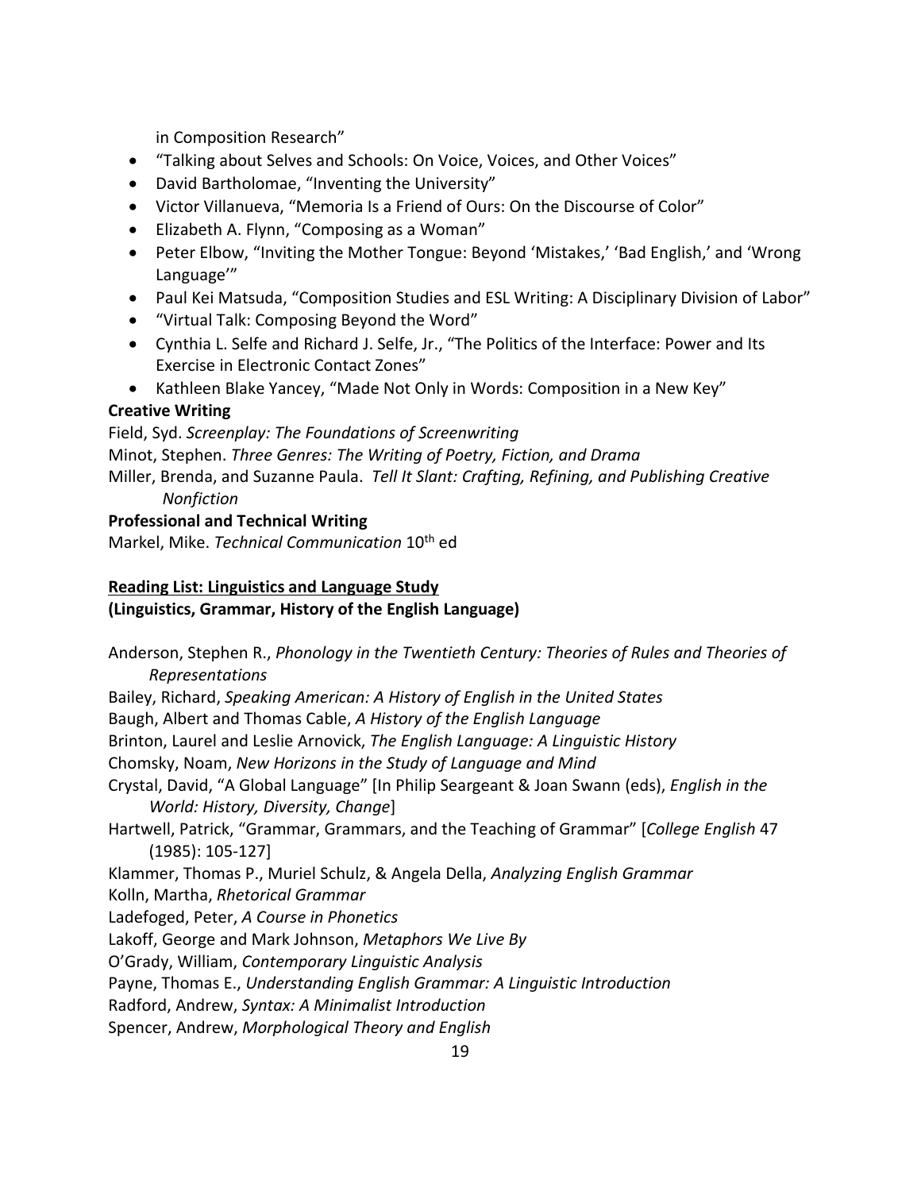in Composition Research"

- "Talking about Selves and Schools: On Voice, Voices, and Other Voices"
- David Bartholomae, "Inventing the University"
- Victor Villanueva, "Memoria Is a Friend of Ours: On the Discourse of Color"
- Elizabeth A. Flynn, "Composing as a Woman"
- Peter Elbow, "Inviting the Mother Tongue: Beyond 'Mistakes,' 'Bad English,' and 'Wrong Language'"
- Paul Kei Matsuda, "Composition Studies and ESL Writing: A Disciplinary Division of Labor"
- "Virtual Talk: Composing Beyond the Word"
- Cynthia L. Selfe and Richard J. Selfe, Jr., "The Politics of the Interface: Power and Its Exercise in Electronic Contact Zones"
- Kathleen Blake Yancey, "Made Not Only in Words: Composition in a New Key"

# **Creative Writing**

Field, Syd. *Screenplay: The Foundations of Screenwriting* Minot, Stephen. *Three Genres: The Writing of Poetry, Fiction, and Drama* Miller, Brenda, and Suzanne Paula. *Tell It Slant: Crafting, Refining, and Publishing Creative Nonfiction*

**Professional and Technical Writing**

Markel, Mike. *Technical Communication* 10th ed

# **Reading List: Linguistics and Language Study**

# **(Linguistics, Grammar, History of the English Language)**

19 Anderson, Stephen R., *Phonology in the Twentieth Century: Theories of Rules and Theories of Representations* Bailey, Richard, *Speaking American: A History of English in the United States* Baugh, Albert and Thomas Cable, *A History of the English Language* Brinton, Laurel and Leslie Arnovick, *The English Language: A Linguistic History* Chomsky, Noam, *New Horizons in the Study of Language and Mind* Crystal, David, "A Global Language" [In Philip Seargeant & Joan Swann (eds), *English in the World: History, Diversity, Change*] Hartwell, Patrick, "Grammar, Grammars, and the Teaching of Grammar" [*College English* 47 (1985): 105-127] Klammer, Thomas P., Muriel Schulz, & Angela Della, *Analyzing English Grammar* Kolln, Martha, *Rhetorical Grammar* Ladefoged, Peter, *A Course in Phonetics* Lakoff, George and Mark Johnson, *Metaphors We Live By* O'Grady, William, *Contemporary Linguistic Analysis* Payne, Thomas E., *Understanding English Grammar: A Linguistic Introduction* Radford, Andrew, *Syntax: A Minimalist Introduction* Spencer, Andrew, *Morphological Theory and English*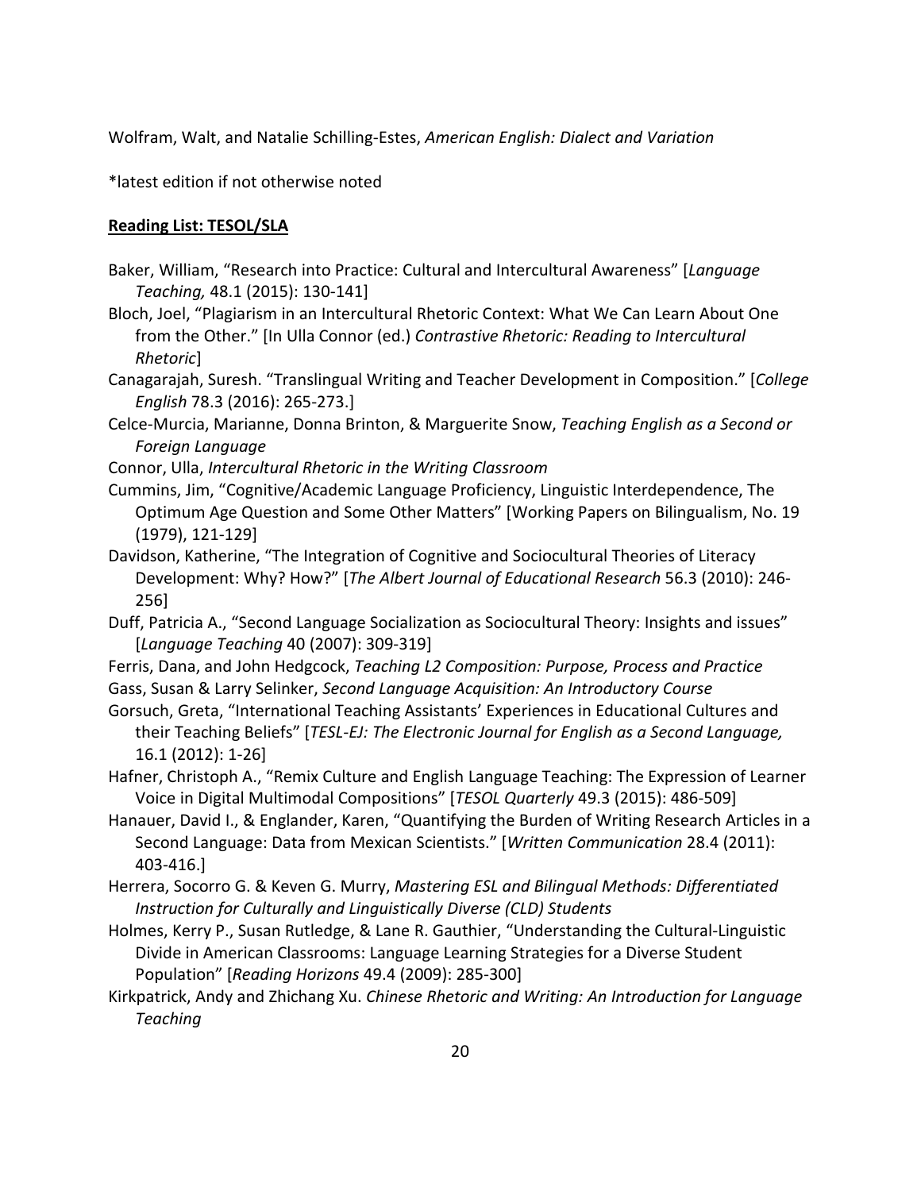Wolfram, Walt, and Natalie Schilling-Estes, *American English: Dialect and Variation*

\*latest edition if not otherwise noted

# **Reading List: TESOL/SLA**

- Baker, William, "Research into Practice: Cultural and Intercultural Awareness" [*Language Teaching,* 48.1 (2015): 130-141]
- Bloch, Joel, "Plagiarism in an Intercultural Rhetoric Context: What We Can Learn About One from the Other." [In Ulla Connor (ed.) *Contrastive Rhetoric: Reading to Intercultural Rhetoric*]
- Canagarajah, Suresh. "Translingual Writing and Teacher Development in Composition." [*College English* 78.3 (2016): 265-273.]
- Celce-Murcia, Marianne, Donna Brinton, & Marguerite Snow, *Teaching English as a Second or Foreign Language*
- Connor, Ulla, *Intercultural Rhetoric in the Writing Classroom*
- Cummins, Jim, "Cognitive/Academic Language Proficiency, Linguistic Interdependence, The Optimum Age Question and Some Other Matters" [Working Papers on Bilingualism, No. 19 (1979), 121-129]
- Davidson, Katherine, "The Integration of Cognitive and Sociocultural Theories of Literacy Development: Why? How?" [*The Albert Journal of Educational Research* 56.3 (2010): 246- 256]
- Duff, Patricia A., "Second Language Socialization as Sociocultural Theory: Insights and issues" [*Language Teaching* 40 (2007): 309-319]
- Ferris, Dana, and John Hedgcock, *Teaching L2 Composition: Purpose, Process and Practice*
- Gass, Susan & Larry Selinker, *Second Language Acquisition: An Introductory Course*
- Gorsuch, Greta, "International Teaching Assistants' Experiences in Educational Cultures and their Teaching Beliefs" [*TESL-EJ: The Electronic Journal for English as a Second Language,* 16.1 (2012): 1-26]
- Hafner, Christoph A., "Remix Culture and English Language Teaching: The Expression of Learner Voice in Digital Multimodal Compositions" [*TESOL Quarterly* 49.3 (2015): 486-509]
- Hanauer, David I., & Englander, Karen, "Quantifying the Burden of Writing Research Articles in a Second Language: Data from Mexican Scientists." [*Written Communication* 28.4 (2011): 403-416.]
- Herrera, Socorro G. & Keven G. Murry, *Mastering ESL and Bilingual Methods: Differentiated Instruction for Culturally and Linguistically Diverse (CLD) Students*
- Holmes, Kerry P., Susan Rutledge, & Lane R. Gauthier, "Understanding the Cultural-Linguistic Divide in American Classrooms: Language Learning Strategies for a Diverse Student Population" [*Reading Horizons* 49.4 (2009): 285-300]
- Kirkpatrick, Andy and Zhichang Xu. *Chinese Rhetoric and Writing: An Introduction for Language Teaching*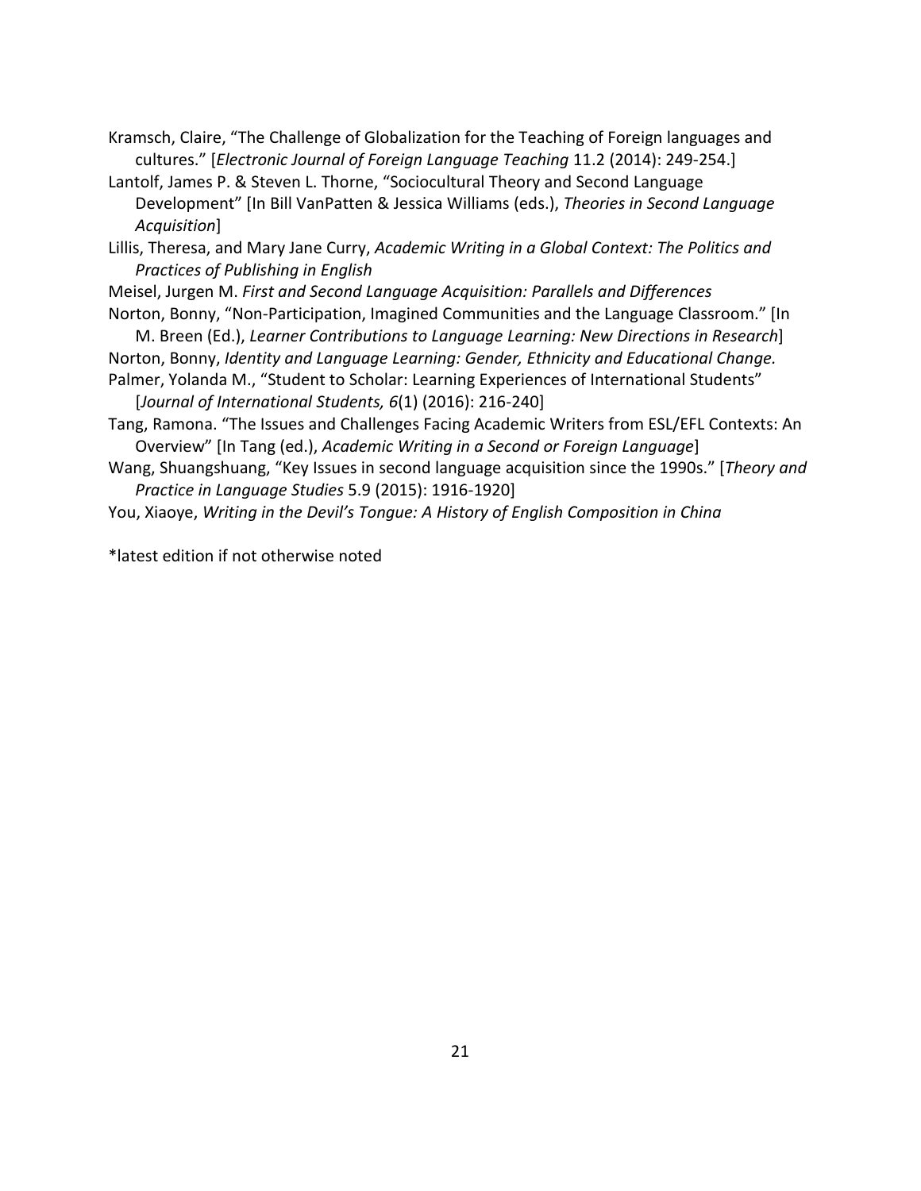Kramsch, Claire, "The Challenge of Globalization for the Teaching of Foreign languages and cultures." [*Electronic Journal of Foreign Language Teaching* 11.2 (2014): 249-254.]

Lantolf, James P. & Steven L. Thorne, "Sociocultural Theory and Second Language Development" [In Bill VanPatten & Jessica Williams (eds.), *Theories in Second Language Acquisition*]

Lillis, Theresa, and Mary Jane Curry, *Academic Writing in a Global Context: The Politics and Practices of Publishing in English*

Meisel, Jurgen M. *First and Second Language Acquisition: Parallels and Differences*

Norton, Bonny, "Non-Participation, Imagined Communities and the Language Classroom." [In M. Breen (Ed.), *Learner Contributions to Language Learning: New Directions in Research*]

Norton, Bonny, *Identity and Language Learning: Gender, Ethnicity and Educational Change.* 

Palmer, Yolanda M., "Student to Scholar: Learning Experiences of International Students" [*Journal of International Students, 6*(1) (2016): 216-240]

Tang, Ramona. "The Issues and Challenges Facing Academic Writers from ESL/EFL Contexts: An Overview" [In Tang (ed.), *Academic Writing in a Second or Foreign Language*]

Wang, Shuangshuang, "Key Issues in second language acquisition since the 1990s." [*Theory and Practice in Language Studies* 5.9 (2015): 1916-1920]

You, Xiaoye, *Writing in the Devil's Tongue: A History of English Composition in China* 

\*latest edition if not otherwise noted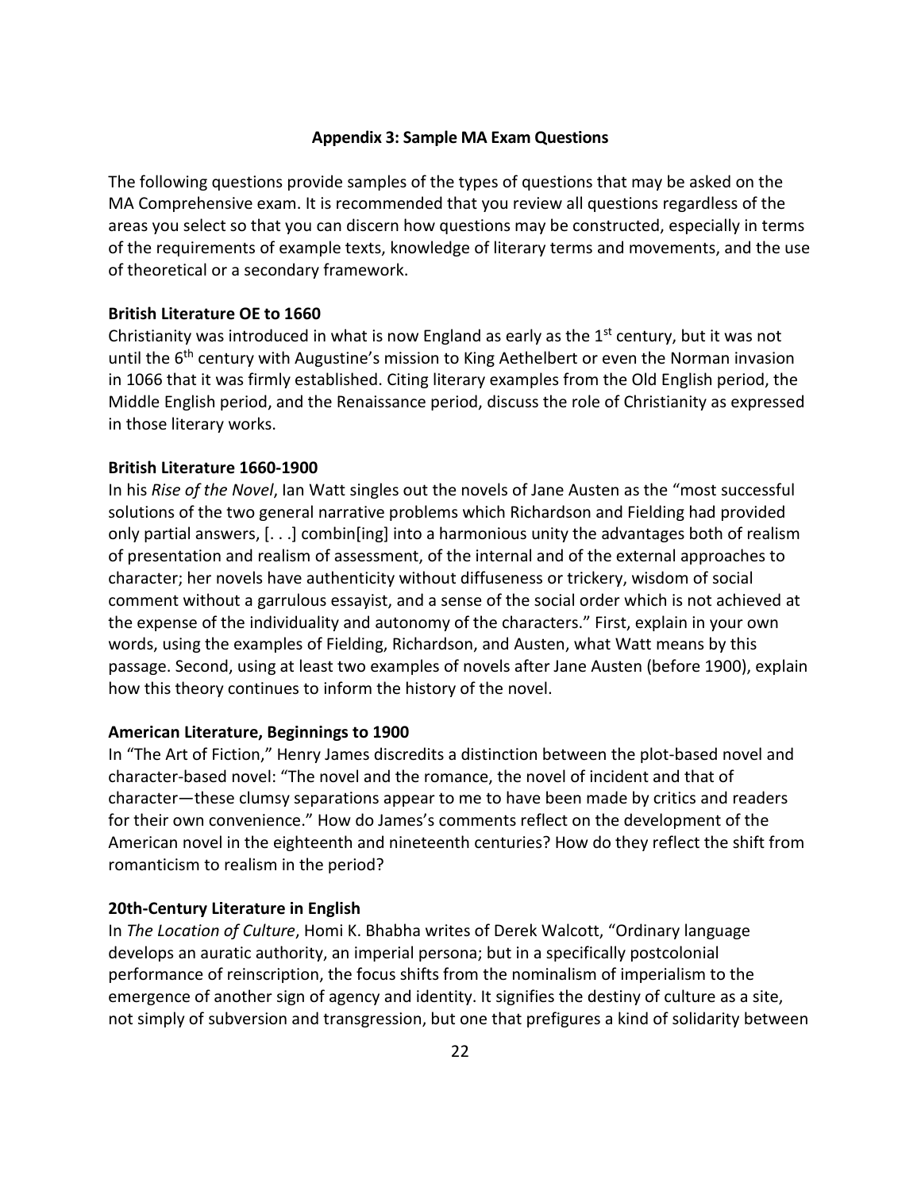#### **Appendix 3: Sample MA Exam Questions**

The following questions provide samples of the types of questions that may be asked on the MA Comprehensive exam. It is recommended that you review all questions regardless of the areas you select so that you can discern how questions may be constructed, especially in terms of the requirements of example texts, knowledge of literary terms and movements, and the use of theoretical or a secondary framework.

#### **British Literature OE to 1660**

Christianity was introduced in what is now England as early as the  $1<sup>st</sup>$  century, but it was not until the 6<sup>th</sup> century with Augustine's mission to King Aethelbert or even the Norman invasion in 1066 that it was firmly established. Citing literary examples from the Old English period, the Middle English period, and the Renaissance period, discuss the role of Christianity as expressed in those literary works.

#### **British Literature 1660-1900**

In his *Rise of the Novel*, Ian Watt singles out the novels of Jane Austen as the "most successful solutions of the two general narrative problems which Richardson and Fielding had provided only partial answers, [. . .] combin[ing] into a harmonious unity the advantages both of realism of presentation and realism of assessment, of the internal and of the external approaches to character; her novels have authenticity without diffuseness or trickery, wisdom of social comment without a garrulous essayist, and a sense of the social order which is not achieved at the expense of the individuality and autonomy of the characters." First, explain in your own words, using the examples of Fielding, Richardson, and Austen, what Watt means by this passage. Second, using at least two examples of novels after Jane Austen (before 1900), explain how this theory continues to inform the history of the novel.

#### **American Literature, Beginnings to 1900**

In "The Art of Fiction," Henry James discredits a distinction between the plot-based novel and character-based novel: "The novel and the romance, the novel of incident and that of character—these clumsy separations appear to me to have been made by critics and readers for their own convenience." How do James's comments reflect on the development of the American novel in the eighteenth and nineteenth centuries? How do they reflect the shift from romanticism to realism in the period?

#### **20th-Century Literature in English**

In *The Location of Culture*, Homi K. Bhabha writes of Derek Walcott, "Ordinary language develops an auratic authority, an imperial persona; but in a specifically postcolonial performance of reinscription, the focus shifts from the nominalism of imperialism to the emergence of another sign of agency and identity. It signifies the destiny of culture as a site, not simply of subversion and transgression, but one that prefigures a kind of solidarity between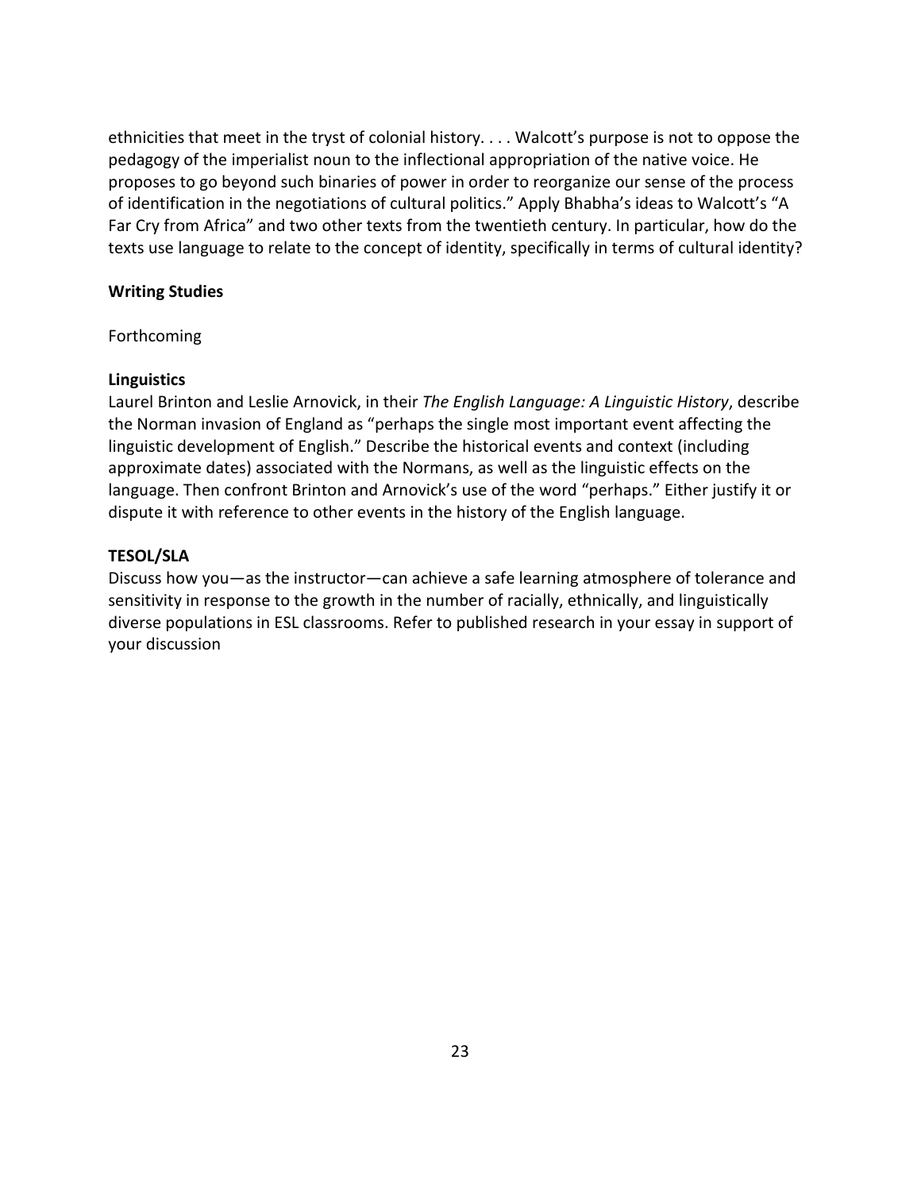ethnicities that meet in the tryst of colonial history. . . . Walcott's purpose is not to oppose the pedagogy of the imperialist noun to the inflectional appropriation of the native voice. He proposes to go beyond such binaries of power in order to reorganize our sense of the process of identification in the negotiations of cultural politics." Apply Bhabha's ideas to Walcott's "A Far Cry from Africa" and two other texts from the twentieth century. In particular, how do the texts use language to relate to the concept of identity, specifically in terms of cultural identity?

### **Writing Studies**

Forthcoming

### **Linguistics**

Laurel Brinton and Leslie Arnovick, in their *The English Language: A Linguistic History*, describe the Norman invasion of England as "perhaps the single most important event affecting the linguistic development of English." Describe the historical events and context (including approximate dates) associated with the Normans, as well as the linguistic effects on the language. Then confront Brinton and Arnovick's use of the word "perhaps." Either justify it or dispute it with reference to other events in the history of the English language.

## **TESOL/SLA**

Discuss how you—as the instructor—can achieve a safe learning atmosphere of tolerance and sensitivity in response to the growth in the number of racially, ethnically, and linguistically diverse populations in ESL classrooms. Refer to published research in your essay in support of your discussion